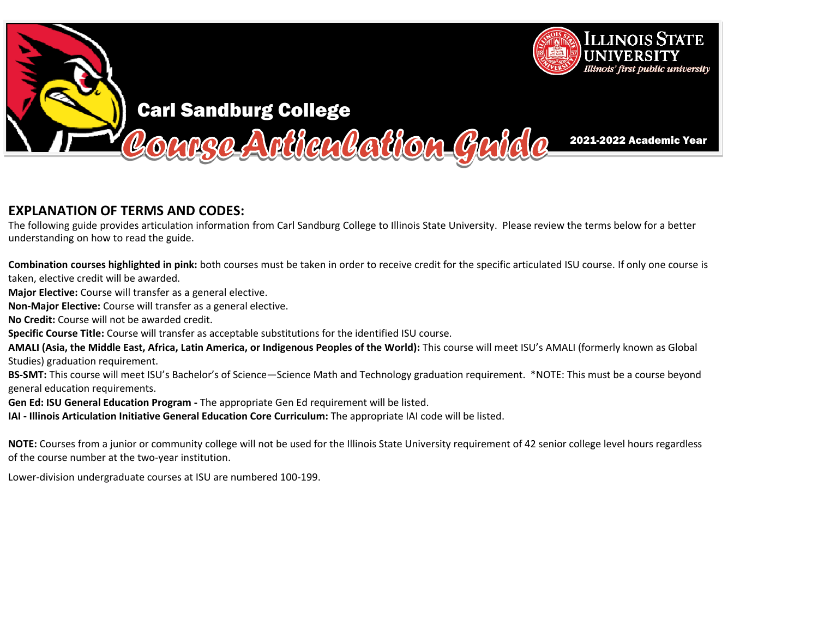

## **EXPLANATION OF TERMS AND CODES:**

The following guide provides articulation information from Carl Sandburg College to Illinois State University. Please review the terms below for <sup>a</sup> better understanding on how to read the guide.

**Combination courses highlighted in pink:** both courses must be taken in order to receive credit for the specific articulated ISU course. If only one course is taken, elective credit will be awarded.

**Major Elective:** Course will transfer as a general elective.

**Non‐Major Elective:** Course will transfer as <sup>a</sup> general elective.

**No Credit:** Course will not be awarded credit.

**Specific Course Title:** Course will transfer as acceptable substitutions for the identified ISU course.

**AMALI (Asia, the Middle East, Africa, Latin America, or Indigenous Peoples of the World):** This course will meet ISU's AMALI (formerly known as Global Studies) graduation requirement.

**BS‐SMT:** This course will meet ISU's Bachelor's of Science—Science Math and Technology graduation requirement. \*NOTE: This must be <sup>a</sup> course beyond general education requirements.

**Gen Ed: ISU General Education Program ‐** The appropriate Gen Ed requirement will be listed.

**IAI ‐ Illinois Articulation Initiative General Education Core Curriculum:** The appropriate IAI code will be listed.

**NOTE:** Courses from a junior or community college will not be used for the Illinois State University requirement of 42 senior college level hours regardless<br>of the secure number at the two westimations of the course number at the two‐year institution.

Lower‐division undergraduate courses at ISU are numbered <sup>100</sup>‐199.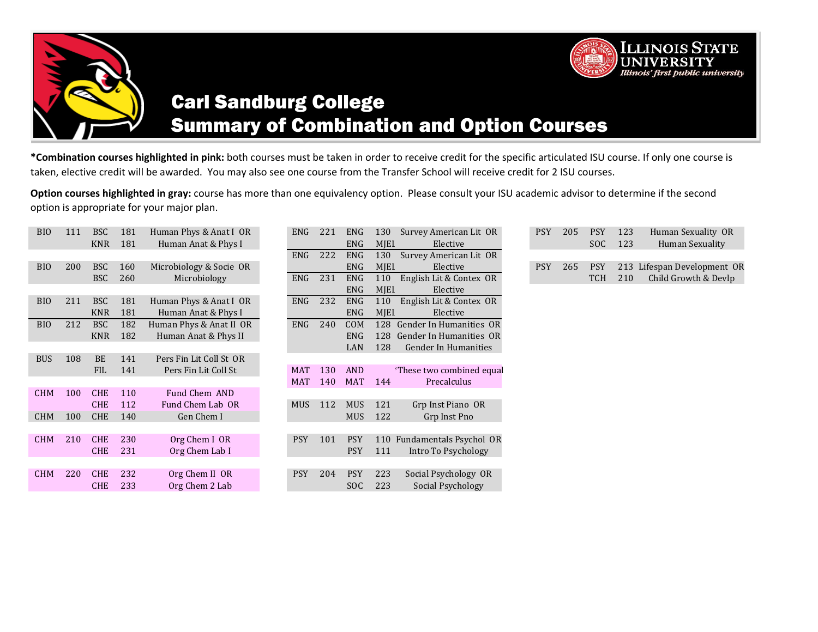

# Carl Sandburg College Summary of Combination and Option Courses

**\*Combination courses highlighted in pink:** both courses must be taken in order to receive credit for the specific articulated ISU course. If only one course is taken, elective credit will be awarded.You may also see one course from the Transfer School will receive credit for 2 ISU courses.

130 Survey American Lit OR

**Option courses highlighted in gray:** course has more than one equivalency option. Please consult your ISU academic advisor to determine if the second option is appropriate for your major plan.

| <b>BIO</b> | 111 | <b>BSC</b><br><b>KNR</b> | 181<br>181 | Human Phys & Anat I OR<br>Human Anat & Phys I | ENG.       | <b>ZZ1</b> | ENG.<br>ENG | 130<br>MJEL | Survey American Lit OR<br>Elective    | PSY.       | <b>205</b> | <b>PSY</b><br><b>SOC</b> | 123<br>123 |
|------------|-----|--------------------------|------------|-----------------------------------------------|------------|------------|-------------|-------------|---------------------------------------|------------|------------|--------------------------|------------|
|            |     |                          |            |                                               | ENG        | 222        | ENG         | 130         | Survey American Lit OR                |            |            |                          |            |
| <b>BIO</b> | 200 | <b>BSC</b>               | 160        | Microbiology & Socie OR                       |            |            | ENG         | MJEL        | Elective                              | <b>PSY</b> | 265        | <b>PSY</b>               | 213        |
|            |     | <b>BSC</b>               | 260        | Microbiology                                  | ENG        | 231        | <b>ENG</b>  | 110         | English Lit & Contex OR               |            |            | TCH                      | 210        |
|            |     |                          |            |                                               |            |            | ENG         | <b>MIEL</b> | Elective                              |            |            |                          |            |
| <b>BIO</b> | 211 | <b>BSC</b>               | 181        | Human Phys & Anat I OR                        | ENG        | 232        | ENG         | 110         | English Lit & Contex OR               |            |            |                          |            |
|            |     | <b>KNR</b>               | 181        | Human Anat & Phys I                           |            |            | ENG         | <b>MIEL</b> | Elective                              |            |            |                          |            |
| <b>BIO</b> | 212 | <b>BSC</b>               | 182        | Human Phys & Anat II OR                       | ENG        | 240        | <b>COM</b>  | 128         | Gender In Humanities OR               |            |            |                          |            |
|            |     | <b>KNR</b>               | 182        | Human Anat & Phys II                          |            |            | ENG         | 128         | Gender In Humanities OR               |            |            |                          |            |
| <b>BUS</b> | 108 | <b>BE</b>                | 141        | Pers Fin Lit Coll St OR                       |            |            | LAN         | 128         | Gender In Humanities                  |            |            |                          |            |
|            |     | <b>FIL</b>               | 141        | Pers Fin Lit Coll St                          | <b>MAT</b> | 130        | <b>AND</b>  |             | <sup>*</sup> These two combined equal |            |            |                          |            |
|            |     |                          |            |                                               | MAT        | 140        | <b>MAT</b>  | 144         | Precalculus                           |            |            |                          |            |
| <b>CHM</b> | 100 | <b>CHE</b>               | 110        | Fund Chem AND                                 |            |            |             |             |                                       |            |            |                          |            |
|            |     | <b>CHE</b>               | 112        | Fund Chem Lab OR                              | <b>MUS</b> | 112        | <b>MUS</b>  | 121         | Grp Inst Piano OR                     |            |            |                          |            |
| <b>CHM</b> | 100 | <b>CHE</b>               | 140        | Gen Chem I                                    |            |            | <b>MUS</b>  | 122         | Grp Inst Pno                          |            |            |                          |            |
|            |     |                          |            |                                               |            |            |             |             |                                       |            |            |                          |            |
| <b>CHM</b> | 210 | <b>CHE</b>               | 230        | Org Chem I OR                                 | <b>PSY</b> | 101        | <b>PSY</b>  |             | 110 Fundamentals Psychol OR           |            |            |                          |            |
|            |     | <b>CHE</b>               | 231        | Org Chem Lab I                                |            |            | <b>PSY</b>  | 111         | Intro To Psychology                   |            |            |                          |            |
|            |     |                          |            |                                               |            |            |             |             |                                       |            |            |                          |            |
| <b>CHM</b> | 220 | <b>CHE</b>               | 232        | Org Chem II OR                                | <b>PSY</b> | 204        | <b>PSY</b>  | 223         | Social Psychology OR                  |            |            |                          |            |
|            |     | <b>CHE</b>               | 233        | Org Chem 2 Lab                                |            |            | SOC         | 223         | Social Psychology                     |            |            |                          |            |
|            |     |                          |            |                                               |            |            |             |             |                                       |            |            |                          |            |

| 205               | PSY     | 123 | Human Sexuality OR                                          |
|-------------------|---------|-----|-------------------------------------------------------------|
| PSY.              | SOC 123 |     | Human Sexuality                                             |
| <b>PSY</b><br>265 | TCH     |     | PSY 213 Lifespan Development OR<br>210 Child Growth & Devlp |

**ILLINOIS STATE UNIVERSITY** Illinois' first public university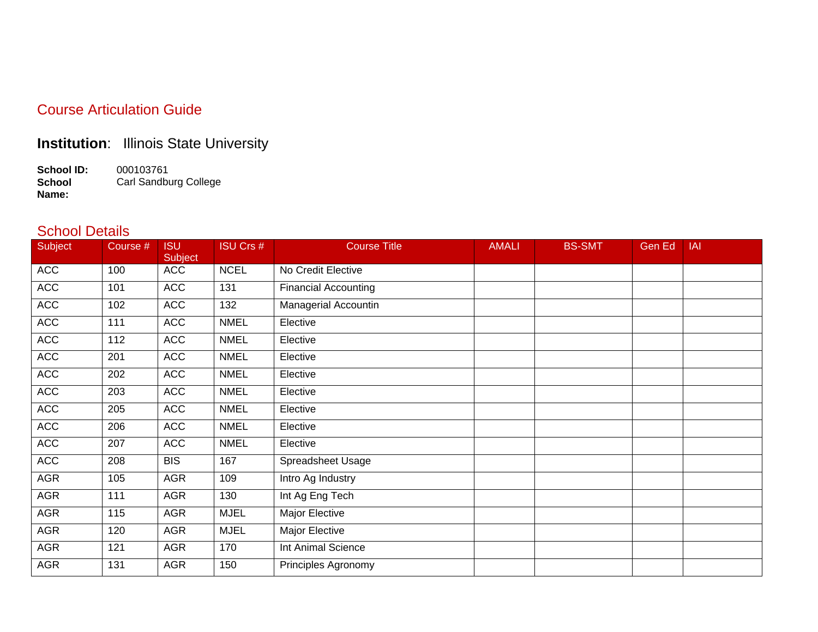#### Course Articulation Guide

### **Institution**: Illinois State University

**School ID:** 000103761 **School Name:** Carl Sandburg College

#### School Details

| Subject    | Course # | <b>ISU</b><br>Subject | <b>ISU Crs #</b> | <b>Course Title</b>         | <b>AMALI</b> | <b>BS-SMT</b> | Gen Ed | IAI |
|------------|----------|-----------------------|------------------|-----------------------------|--------------|---------------|--------|-----|
| <b>ACC</b> | 100      | <b>ACC</b>            | <b>NCEL</b>      | No Credit Elective          |              |               |        |     |
| <b>ACC</b> | 101      | <b>ACC</b>            | 131              | <b>Financial Accounting</b> |              |               |        |     |
| <b>ACC</b> | 102      | <b>ACC</b>            | 132              | Managerial Accountin        |              |               |        |     |
| <b>ACC</b> | 111      | <b>ACC</b>            | <b>NMEL</b>      | Elective                    |              |               |        |     |
| <b>ACC</b> | 112      | <b>ACC</b>            | <b>NMEL</b>      | Elective                    |              |               |        |     |
| <b>ACC</b> | 201      | <b>ACC</b>            | <b>NMEL</b>      | Elective                    |              |               |        |     |
| <b>ACC</b> | 202      | <b>ACC</b>            | <b>NMEL</b>      | Elective                    |              |               |        |     |
| <b>ACC</b> | 203      | <b>ACC</b>            | <b>NMEL</b>      | Elective                    |              |               |        |     |
| <b>ACC</b> | 205      | <b>ACC</b>            | <b>NMEL</b>      | Elective                    |              |               |        |     |
| <b>ACC</b> | 206      | <b>ACC</b>            | <b>NMEL</b>      | Elective                    |              |               |        |     |
| <b>ACC</b> | 207      | <b>ACC</b>            | <b>NMEL</b>      | Elective                    |              |               |        |     |
| <b>ACC</b> | 208      | <b>BIS</b>            | 167              | Spreadsheet Usage           |              |               |        |     |
| AGR        | 105      | <b>AGR</b>            | 109              | Intro Ag Industry           |              |               |        |     |
| <b>AGR</b> | 111      | <b>AGR</b>            | 130              | Int Ag Eng Tech             |              |               |        |     |
| AGR        | 115      | <b>AGR</b>            | <b>MJEL</b>      | Major Elective              |              |               |        |     |
| <b>AGR</b> | 120      | <b>AGR</b>            | <b>MJEL</b>      | Major Elective              |              |               |        |     |
| <b>AGR</b> | 121      | <b>AGR</b>            | 170              | Int Animal Science          |              |               |        |     |
| <b>AGR</b> | 131      | <b>AGR</b>            | 150              | Principles Agronomy         |              |               |        |     |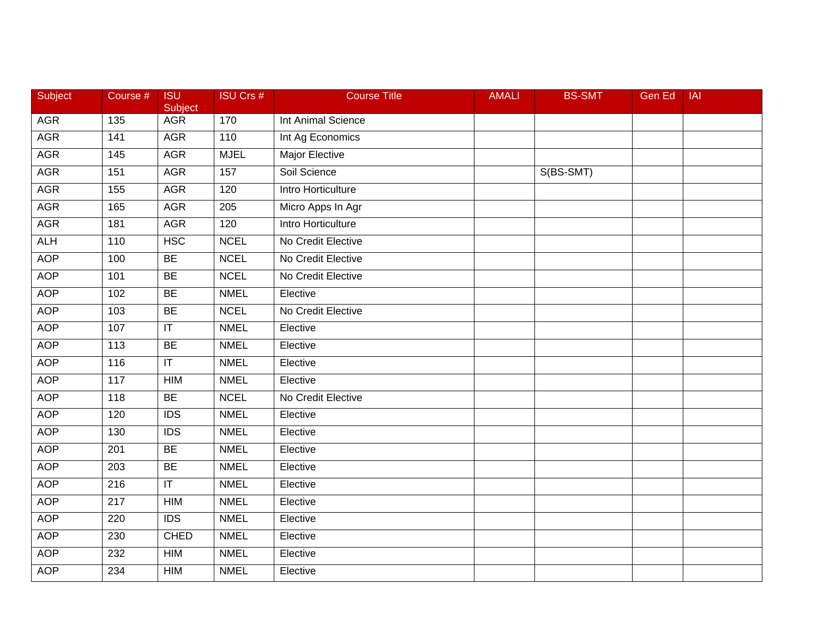| Subject    | Course #         | <b>ISU</b><br>Subject             | <b>ISU Crs #</b> | <b>Course Title</b>   | <b>AMALI</b> | <b>BS-SMT</b> | Gen Ed | <b>IAI</b> |
|------------|------------------|-----------------------------------|------------------|-----------------------|--------------|---------------|--------|------------|
| <b>AGR</b> | 135              | <b>AGR</b>                        | 170              | Int Animal Science    |              |               |        |            |
| <b>AGR</b> | 141              | <b>AGR</b>                        | 110              | Int Ag Economics      |              |               |        |            |
| <b>AGR</b> | 145              | <b>AGR</b>                        | <b>MJEL</b>      | <b>Major Elective</b> |              |               |        |            |
| <b>AGR</b> | 151              | <b>AGR</b>                        | 157              | Soil Science          |              | S(BS-SMT)     |        |            |
| <b>AGR</b> | 155              | <b>AGR</b>                        | 120              | Intro Horticulture    |              |               |        |            |
| <b>AGR</b> | 165              | <b>AGR</b>                        | 205              | Micro Apps In Agr     |              |               |        |            |
| <b>AGR</b> | 181              | <b>AGR</b>                        | 120              | Intro Horticulture    |              |               |        |            |
| <b>ALH</b> | 110              | <b>HSC</b>                        | <b>NCEL</b>      | No Credit Elective    |              |               |        |            |
| <b>AOP</b> | 100              | BE                                | <b>NCEL</b>      | No Credit Elective    |              |               |        |            |
| <b>AOP</b> | 101              | <b>BE</b>                         | <b>NCEL</b>      | No Credit Elective    |              |               |        |            |
| <b>AOP</b> | 102              | <b>BE</b>                         | <b>NMEL</b>      | Elective              |              |               |        |            |
| <b>AOP</b> | 103              | BE                                | <b>NCEL</b>      | No Credit Elective    |              |               |        |            |
| <b>AOP</b> | 107              | $\overline{\mathsf{I}\mathsf{T}}$ | <b>NMEL</b>      | Elective              |              |               |        |            |
| <b>AOP</b> | 113              | <b>BE</b>                         | <b>NMEL</b>      | Elective              |              |               |        |            |
| <b>AOP</b> | 116              | $\overline{\mathsf{T}}$           | <b>NMEL</b>      | Elective              |              |               |        |            |
| <b>AOP</b> | 117              | <b>HIM</b>                        | <b>NMEL</b>      | Elective              |              |               |        |            |
| <b>AOP</b> | 118              | BE                                | <b>NCEL</b>      | No Credit Elective    |              |               |        |            |
| <b>AOP</b> | 120              | $\overline{IDS}$                  | <b>NMEL</b>      | Elective              |              |               |        |            |
| <b>AOP</b> | 130              | <b>IDS</b>                        | <b>NMEL</b>      | Elective              |              |               |        |            |
| <b>AOP</b> | 201              | <b>BE</b>                         | <b>NMEL</b>      | Elective              |              |               |        |            |
| <b>AOP</b> | 203              | <b>BE</b>                         | <b>NMEL</b>      | Elective              |              |               |        |            |
| <b>AOP</b> | 216              | $\overline{\mathsf{T}}$           | <b>NMEL</b>      | Elective              |              |               |        |            |
| <b>AOP</b> | $\overline{217}$ | <b>HIM</b>                        | <b>NMEL</b>      | Elective              |              |               |        |            |
| <b>AOP</b> | 220              | <b>IDS</b>                        | <b>NMEL</b>      | Elective              |              |               |        |            |
| <b>AOP</b> | 230              | <b>CHED</b>                       | <b>NMEL</b>      | Elective              |              |               |        |            |
| <b>AOP</b> | 232              | <b>HIM</b>                        | <b>NMEL</b>      | Elective              |              |               |        |            |
| <b>AOP</b> | 234              | <b>HIM</b>                        | <b>NMEL</b>      | Elective              |              |               |        |            |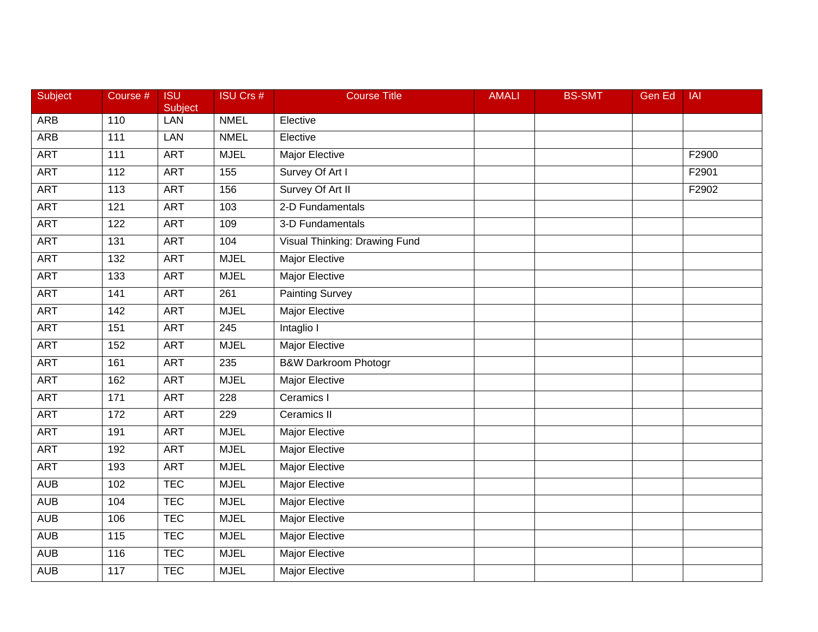| <b>Subject</b> | Course #        | <b>ISU</b><br>Subject | <b>ISU Crs #</b> | <b>Course Title</b>             | <b>AMALI</b> | <b>BS-SMT</b> | <b>Gen Ed</b> | <b>IAI</b> |
|----------------|-----------------|-----------------------|------------------|---------------------------------|--------------|---------------|---------------|------------|
| <b>ARB</b>     | 110             | LAN                   | <b>NMEL</b>      | Elective                        |              |               |               |            |
| <b>ARB</b>     | 111             | LAN                   | <b>NMEL</b>      | Elective                        |              |               |               |            |
| <b>ART</b>     | 111             | <b>ART</b>            | <b>MJEL</b>      | <b>Major Elective</b>           |              |               |               | F2900      |
| <b>ART</b>     | $\frac{11}{2}$  | <b>ART</b>            | $\overline{155}$ | Survey Of Art I                 |              |               |               | F2901      |
| <b>ART</b>     | 113             | <b>ART</b>            | 156              | Survey Of Art II                |              |               |               | F2902      |
| <b>ART</b>     | 121             | <b>ART</b>            | 103              | 2-D Fundamentals                |              |               |               |            |
| <b>ART</b>     | 122             | <b>ART</b>            | 109              | 3-D Fundamentals                |              |               |               |            |
| <b>ART</b>     | 131             | <b>ART</b>            | 104              | Visual Thinking: Drawing Fund   |              |               |               |            |
| <b>ART</b>     | 132             | <b>ART</b>            | <b>MJEL</b>      | <b>Major Elective</b>           |              |               |               |            |
| <b>ART</b>     | 133             | <b>ART</b>            | <b>MJEL</b>      | <b>Major Elective</b>           |              |               |               |            |
| <b>ART</b>     | 141             | <b>ART</b>            | 261              | <b>Painting Survey</b>          |              |               |               |            |
| <b>ART</b>     | 142             | <b>ART</b>            | <b>MJEL</b>      | <b>Major Elective</b>           |              |               |               |            |
| <b>ART</b>     | 151             | <b>ART</b>            | $\overline{245}$ | Intaglio I                      |              |               |               |            |
| <b>ART</b>     | 152             | <b>ART</b>            | <b>MJEL</b>      | <b>Major Elective</b>           |              |               |               |            |
| <b>ART</b>     | 161             | <b>ART</b>            | $\overline{235}$ | <b>B&amp;W Darkroom Photogr</b> |              |               |               |            |
| <b>ART</b>     | 162             | <b>ART</b>            | <b>MJEL</b>      | Major Elective                  |              |               |               |            |
| <b>ART</b>     | $\frac{1}{171}$ | <b>ART</b>            | 228              | Ceramics I                      |              |               |               |            |
| <b>ART</b>     | 172             | <b>ART</b>            | 229              | Ceramics II                     |              |               |               |            |
| <b>ART</b>     | 191             | <b>ART</b>            | <b>MJEL</b>      | Major Elective                  |              |               |               |            |
| <b>ART</b>     | 192             | <b>ART</b>            | <b>MJEL</b>      | Major Elective                  |              |               |               |            |
| <b>ART</b>     | 193             | <b>ART</b>            | <b>MJEL</b>      | Major Elective                  |              |               |               |            |
| <b>AUB</b>     | 102             | <b>TEC</b>            | <b>MJEL</b>      | <b>Major Elective</b>           |              |               |               |            |
| <b>AUB</b>     | 104             | <b>TEC</b>            | <b>MJEL</b>      | <b>Major Elective</b>           |              |               |               |            |
| <b>AUB</b>     | 106             | <b>TEC</b>            | <b>MJEL</b>      | <b>Major Elective</b>           |              |               |               |            |
| <b>AUB</b>     | 115             | <b>TEC</b>            | <b>MJEL</b>      | Major Elective                  |              |               |               |            |
| <b>AUB</b>     | 116             | <b>TEC</b>            | <b>MJEL</b>      | Major Elective                  |              |               |               |            |
| <b>AUB</b>     | 117             | <b>TEC</b>            | <b>MJEL</b>      | <b>Major Elective</b>           |              |               |               |            |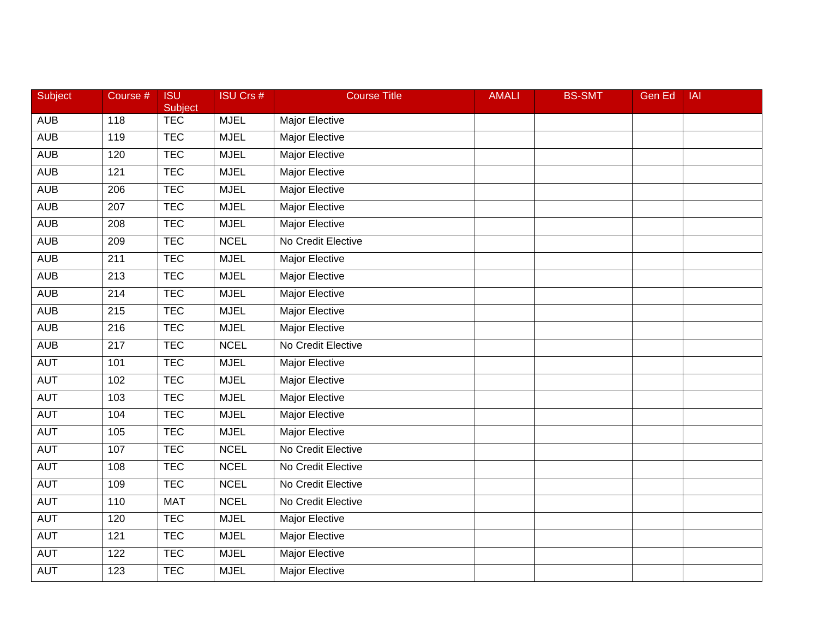| Subject    | Course #         | <b>ISU</b><br>Subject | <b>ISU Crs #</b> | <b>Course Title</b>   | <b>AMALI</b> | <b>BS-SMT</b> | <b>Gen Ed</b> | IAI |
|------------|------------------|-----------------------|------------------|-----------------------|--------------|---------------|---------------|-----|
| <b>AUB</b> | 118              | <b>TEC</b>            | <b>MJEL</b>      | Major Elective        |              |               |               |     |
| <b>AUB</b> | 119              | <b>TEC</b>            | <b>MJEL</b>      | <b>Major Elective</b> |              |               |               |     |
| <b>AUB</b> | 120              | <b>TEC</b>            | <b>MJEL</b>      | <b>Major Elective</b> |              |               |               |     |
| <b>AUB</b> | 121              | <b>TEC</b>            | <b>MJEL</b>      | <b>Major Elective</b> |              |               |               |     |
| <b>AUB</b> | 206              | <b>TEC</b>            | <b>MJEL</b>      | Major Elective        |              |               |               |     |
| <b>AUB</b> | 207              | <b>TEC</b>            | <b>MJEL</b>      | Major Elective        |              |               |               |     |
| <b>AUB</b> | 208              | <b>TEC</b>            | <b>MJEL</b>      | <b>Major Elective</b> |              |               |               |     |
| <b>AUB</b> | 209              | <b>TEC</b>            | <b>NCEL</b>      | No Credit Elective    |              |               |               |     |
| <b>AUB</b> | 211              | <b>TEC</b>            | <b>MJEL</b>      | <b>Major Elective</b> |              |               |               |     |
| <b>AUB</b> | 213              | <b>TEC</b>            | <b>MJEL</b>      | Major Elective        |              |               |               |     |
| <b>AUB</b> | 214              | <b>TEC</b>            | <b>MJEL</b>      | Major Elective        |              |               |               |     |
| <b>AUB</b> | 215              | <b>TEC</b>            | <b>MJEL</b>      | <b>Major Elective</b> |              |               |               |     |
| <b>AUB</b> | $\overline{216}$ | <b>TEC</b>            | <b>MJEL</b>      | <b>Major Elective</b> |              |               |               |     |
| <b>AUB</b> | 217              | <b>TEC</b>            | <b>NCEL</b>      | No Credit Elective    |              |               |               |     |
| <b>AUT</b> | 101              | <b>TEC</b>            | <b>MJEL</b>      | Major Elective        |              |               |               |     |
| <b>AUT</b> | 102              | <b>TEC</b>            | <b>MJEL</b>      | Major Elective        |              |               |               |     |
| <b>AUT</b> | 103              | <b>TEC</b>            | <b>MJEL</b>      | <b>Major Elective</b> |              |               |               |     |
| <b>AUT</b> | 104              | <b>TEC</b>            | <b>MJEL</b>      | <b>Major Elective</b> |              |               |               |     |
| <b>AUT</b> | 105              | <b>TEC</b>            | <b>MJEL</b>      | Major Elective        |              |               |               |     |
| <b>AUT</b> | 107              | <b>TEC</b>            | <b>NCEL</b>      | No Credit Elective    |              |               |               |     |
| <b>AUT</b> | 108              | <b>TEC</b>            | <b>NCEL</b>      | No Credit Elective    |              |               |               |     |
| <b>AUT</b> | 109              | <b>TEC</b>            | <b>NCEL</b>      | No Credit Elective    |              |               |               |     |
| <b>AUT</b> | 110              | <b>MAT</b>            | <b>NCEL</b>      | No Credit Elective    |              |               |               |     |
| <b>AUT</b> | 120              | <b>TEC</b>            | <b>MJEL</b>      | <b>Major Elective</b> |              |               |               |     |
| <b>AUT</b> | 121              | <b>TEC</b>            | <b>MJEL</b>      | Major Elective        |              |               |               |     |
| <b>AUT</b> | 122              | <b>TEC</b>            | <b>MJEL</b>      | Major Elective        |              |               |               |     |
| <b>AUT</b> | 123              | <b>TEC</b>            | <b>MJEL</b>      | <b>Major Elective</b> |              |               |               |     |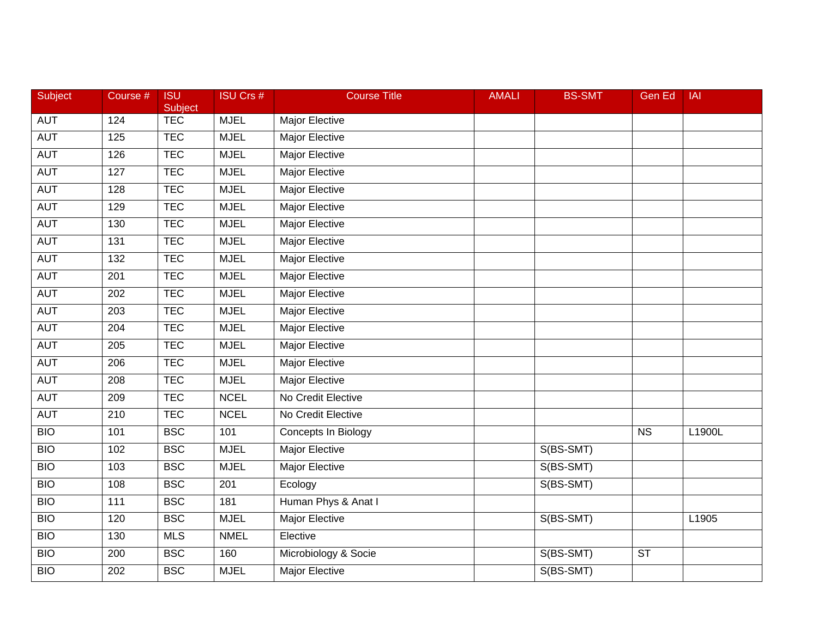| <b>Subject</b> | Course #         | <b>ISU</b><br><b>Subject</b> | <b>ISU Crs #</b> | <b>Course Title</b>   | <b>AMALI</b> | <b>BS-SMT</b> | Gen Ed    | <b>IAI</b> |
|----------------|------------------|------------------------------|------------------|-----------------------|--------------|---------------|-----------|------------|
| AUT            | 124              | <b>TEC</b>                   | <b>MJEL</b>      | Major Elective        |              |               |           |            |
| <b>AUT</b>     | 125              | <b>TEC</b>                   | <b>MJEL</b>      | <b>Major Elective</b> |              |               |           |            |
| <b>AUT</b>     | 126              | <b>TEC</b>                   | <b>MJEL</b>      | <b>Major Elective</b> |              |               |           |            |
| <b>AUT</b>     | 127              | <b>TEC</b>                   | <b>MJEL</b>      | <b>Major Elective</b> |              |               |           |            |
| <b>AUT</b>     | 128              | <b>TEC</b>                   | <b>MJEL</b>      | Major Elective        |              |               |           |            |
| <b>AUT</b>     | 129              | <b>TEC</b>                   | <b>MJEL</b>      | Major Elective        |              |               |           |            |
| <b>AUT</b>     | 130              | <b>TEC</b>                   | <b>MJEL</b>      | <b>Major Elective</b> |              |               |           |            |
| <b>AUT</b>     | 131              | <b>TEC</b>                   | <b>MJEL</b>      | <b>Major Elective</b> |              |               |           |            |
| <b>AUT</b>     | 132              | <b>TEC</b>                   | <b>MJEL</b>      | <b>Major Elective</b> |              |               |           |            |
| <b>AUT</b>     | 201              | <b>TEC</b>                   | <b>MJEL</b>      | Major Elective        |              |               |           |            |
| AUT            | 202              | <b>TEC</b>                   | <b>MJEL</b>      | Major Elective        |              |               |           |            |
| <b>AUT</b>     | 203              | <b>TEC</b>                   | <b>MJEL</b>      | <b>Major Elective</b> |              |               |           |            |
| <b>AUT</b>     | $\overline{204}$ | <b>TEC</b>                   | <b>MJEL</b>      | <b>Major Elective</b> |              |               |           |            |
| <b>AUT</b>     | 205              | <b>TEC</b>                   | <b>MJEL</b>      | <b>Major Elective</b> |              |               |           |            |
| <b>AUT</b>     | 206              | <b>TEC</b>                   | <b>MJEL</b>      | <b>Major Elective</b> |              |               |           |            |
| AUT            | 208              | <b>TEC</b>                   | <b>MJEL</b>      | Major Elective        |              |               |           |            |
| <b>AUT</b>     | 209              | <b>TEC</b>                   | <b>NCEL</b>      | No Credit Elective    |              |               |           |            |
| <b>AUT</b>     | $\overline{210}$ | <b>TEC</b>                   | <b>NCEL</b>      | No Credit Elective    |              |               |           |            |
| <b>BIO</b>     | 101              | <b>BSC</b>                   | 101              | Concepts In Biology   |              |               | <b>NS</b> | L1900L     |
| <b>BIO</b>     | 102              | <b>BSC</b>                   | <b>MJEL</b>      | <b>Major Elective</b> |              | S(BS-SMT)     |           |            |
| <b>BIO</b>     | 103              | <b>BSC</b>                   | <b>MJEL</b>      | <b>Major Elective</b> |              | S(BS-SMT)     |           |            |
| <b>BIO</b>     | 108              | <b>BSC</b>                   | 201              | Ecology               |              | S(BS-SMT)     |           |            |
| <b>BIO</b>     | 111              | <b>BSC</b>                   | 181              | Human Phys & Anat I   |              |               |           |            |
| <b>BIO</b>     | 120              | <b>BSC</b>                   | <b>MJEL</b>      | <b>Major Elective</b> |              | S(BS-SMT)     |           | L1905      |
| <b>BIO</b>     | 130              | <b>MLS</b>                   | <b>NMEL</b>      | Elective              |              |               |           |            |
| <b>BIO</b>     | 200              | <b>BSC</b>                   | 160              | Microbiology & Socie  |              | S(BS-SMT)     | <b>ST</b> |            |
| <b>BIO</b>     | 202              | <b>BSC</b>                   | <b>MJEL</b>      | <b>Major Elective</b> |              | S(BS-SMT)     |           |            |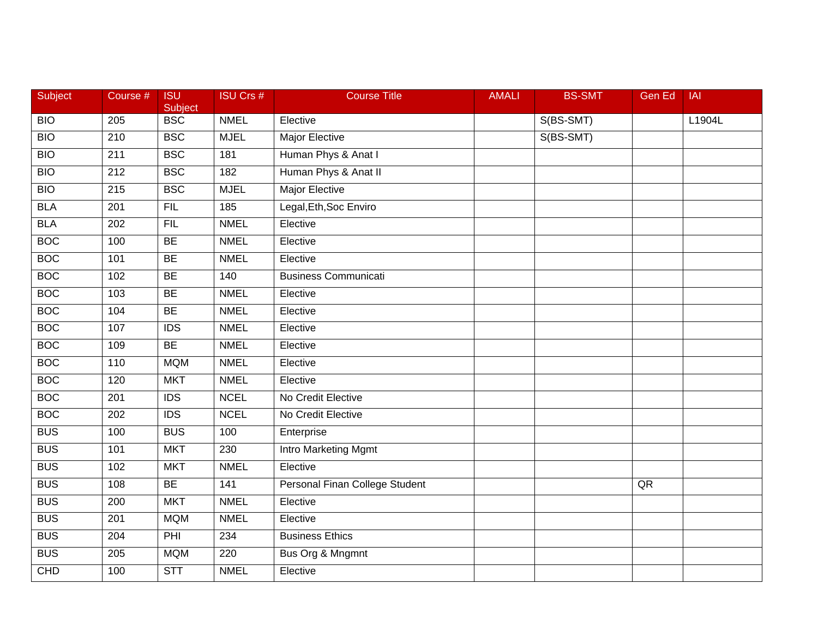| Subject    | Course #         | <b>ISU</b><br>Subject | <b>ISU Crs #</b> | <b>Course Title</b>            | <b>AMALI</b> | <b>BS-SMT</b> | <b>Gen Ed</b> | <b>IAI</b> |
|------------|------------------|-----------------------|------------------|--------------------------------|--------------|---------------|---------------|------------|
| <b>BIO</b> | 205              | <b>BSC</b>            | <b>NMEL</b>      | Elective                       |              | S(BS-SMT)     |               | L1904L     |
| <b>BIO</b> | $\overline{210}$ | <b>BSC</b>            | <b>MJEL</b>      | <b>Major Elective</b>          |              | S(BS-SMT)     |               |            |
| <b>BIO</b> | 211              | <b>BSC</b>            | 181              | Human Phys & Anat I            |              |               |               |            |
| <b>BIO</b> | $\overline{212}$ | <b>BSC</b>            | 182              | Human Phys & Anat II           |              |               |               |            |
| <b>BIO</b> | 215              | <b>BSC</b>            | <b>MJEL</b>      | <b>Major Elective</b>          |              |               |               |            |
| <b>BLA</b> | 201              | <b>FIL</b>            | 185              | Legal, Eth, Soc Enviro         |              |               |               |            |
| <b>BLA</b> | 202              | FIL                   | <b>NMEL</b>      | Elective                       |              |               |               |            |
| <b>BOC</b> | 100              | BE                    | <b>NMEL</b>      | Elective                       |              |               |               |            |
| <b>BOC</b> | 101              | <b>BE</b>             | <b>NMEL</b>      | Elective                       |              |               |               |            |
| <b>BOC</b> | 102              | <b>BE</b>             | 140              | <b>Business Communicati</b>    |              |               |               |            |
| <b>BOC</b> | 103              | <b>BE</b>             | <b>NMEL</b>      | Elective                       |              |               |               |            |
| <b>BOC</b> | 104              | BE                    | <b>NMEL</b>      | Elective                       |              |               |               |            |
| <b>BOC</b> | 107              | <b>IDS</b>            | <b>NMEL</b>      | Elective                       |              |               |               |            |
| <b>BOC</b> | 109              | BE                    | <b>NMEL</b>      | Elective                       |              |               |               |            |
| <b>BOC</b> | 110              | <b>MQM</b>            | <b>NMEL</b>      | Elective                       |              |               |               |            |
| <b>BOC</b> | 120              | <b>MKT</b>            | <b>NMEL</b>      | Elective                       |              |               |               |            |
| <b>BOC</b> | 201              | $\overline{IDS}$      | <b>NCEL</b>      | No Credit Elective             |              |               |               |            |
| <b>BOC</b> | 202              | $\overline{IDS}$      | <b>NCEL</b>      | No Credit Elective             |              |               |               |            |
| <b>BUS</b> | 100              | <b>BUS</b>            | 100              | Enterprise                     |              |               |               |            |
| <b>BUS</b> | 101              | <b>MKT</b>            | 230              | <b>Intro Marketing Mgmt</b>    |              |               |               |            |
| <b>BUS</b> | 102              | <b>MKT</b>            | <b>NMEL</b>      | Elective                       |              |               |               |            |
| <b>BUS</b> | 108              | BE                    | 141              | Personal Finan College Student |              |               | QR            |            |
| <b>BUS</b> | $\overline{200}$ | <b>MKT</b>            | <b>NMEL</b>      | Elective                       |              |               |               |            |
| <b>BUS</b> | 201              | <b>MQM</b>            | <b>NMEL</b>      | Elective                       |              |               |               |            |
| <b>BUS</b> | 204              | PHI                   | 234              | <b>Business Ethics</b>         |              |               |               |            |
| <b>BUS</b> | 205              | <b>MQM</b>            | 220              | Bus Org & Mngmnt               |              |               |               |            |
| <b>CHD</b> | 100              | STT                   | <b>NMEL</b>      | Elective                       |              |               |               |            |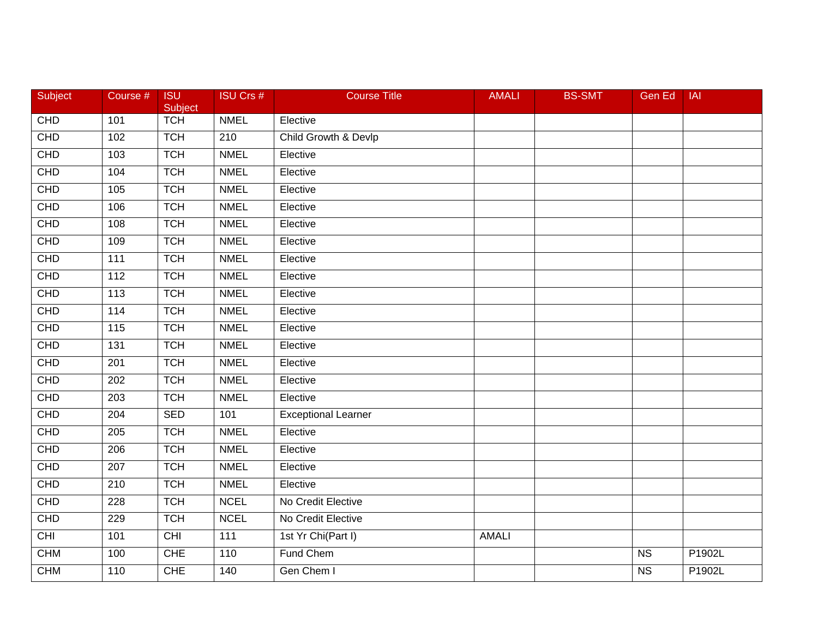| Subject    | Course #          | <b>ISU</b><br>Subject | <b>ISU Crs #</b> | <b>Course Title</b>        | <b>AMALI</b> | <b>BS-SMT</b> | Gen Ed                 | <b>IAI</b> |
|------------|-------------------|-----------------------|------------------|----------------------------|--------------|---------------|------------------------|------------|
| <b>CHD</b> | 101               | <b>TCH</b>            | <b>NMEL</b>      | Elective                   |              |               |                        |            |
| CHD        | 102               | <b>TCH</b>            | 210              | Child Growth & Devlp       |              |               |                        |            |
| CHD        | 103               | <b>TCH</b>            | <b>NMEL</b>      | Elective                   |              |               |                        |            |
| <b>CHD</b> | 104               | <b>TCH</b>            | <b>NMEL</b>      | Elective                   |              |               |                        |            |
| CHD        | 105               | <b>TCH</b>            | <b>NMEL</b>      | Elective                   |              |               |                        |            |
| CHD        | 106               | <b>TCH</b>            | <b>NMEL</b>      | Elective                   |              |               |                        |            |
| CHD        | 108               | <b>TCH</b>            | <b>NMEL</b>      | Elective                   |              |               |                        |            |
| <b>CHD</b> | 109               | <b>TCH</b>            | <b>NMEL</b>      | Elective                   |              |               |                        |            |
| <b>CHD</b> | $\frac{111}{11}$  | <b>TCH</b>            | <b>NMEL</b>      | Elective                   |              |               |                        |            |
| <b>CHD</b> | 112               | <b>TCH</b>            | <b>NMEL</b>      | Elective                   |              |               |                        |            |
| <b>CHD</b> | 113               | <b>TCH</b>            | <b>NMEL</b>      | Elective                   |              |               |                        |            |
| CHD        | $\frac{114}{114}$ | <b>TCH</b>            | <b>NMEL</b>      | Elective                   |              |               |                        |            |
| CHD        | $\frac{115}{115}$ | <b>TCH</b>            | <b>NMEL</b>      | Elective                   |              |               |                        |            |
| CHD        | 131               | <b>TCH</b>            | <b>NMEL</b>      | Elective                   |              |               |                        |            |
| <b>CHD</b> | 201               | <b>TCH</b>            | <b>NMEL</b>      | Elective                   |              |               |                        |            |
| CHD        | 202               | <b>TCH</b>            | <b>NMEL</b>      | Elective                   |              |               |                        |            |
| CHD        | 203               | <b>TCH</b>            | <b>NMEL</b>      | Elective                   |              |               |                        |            |
| CHD        | $\overline{204}$  | <b>SED</b>            | 101              | <b>Exceptional Learner</b> |              |               |                        |            |
| CHD        | 205               | <b>TCH</b>            | <b>NMEL</b>      | Elective                   |              |               |                        |            |
| CHD        | 206               | <b>TCH</b>            | <b>NMEL</b>      | Elective                   |              |               |                        |            |
| CHD        | 207               | <b>TCH</b>            | <b>NMEL</b>      | Elective                   |              |               |                        |            |
| CHD        | $\overline{210}$  | <b>TCH</b>            | <b>NMEL</b>      | Elective                   |              |               |                        |            |
| CHD        | 228               | <b>TCH</b>            | <b>NCEL</b>      | No Credit Elective         |              |               |                        |            |
| CHD        | 229               | <b>TCH</b>            | <b>NCEL</b>      | No Credit Elective         |              |               |                        |            |
| <b>CHI</b> | 101               | <b>CHI</b>            | 111              | 1st Yr Chi(Part I)         | <b>AMALI</b> |               |                        |            |
| <b>CHM</b> | 100               | <b>CHE</b>            | 110              | Fund Chem                  |              |               | N <sub>S</sub>         | P1902L     |
| <b>CHM</b> | 110               | <b>CHE</b>            | 140              | Gen Chem I                 |              |               | $\overline{\text{NS}}$ | P1902L     |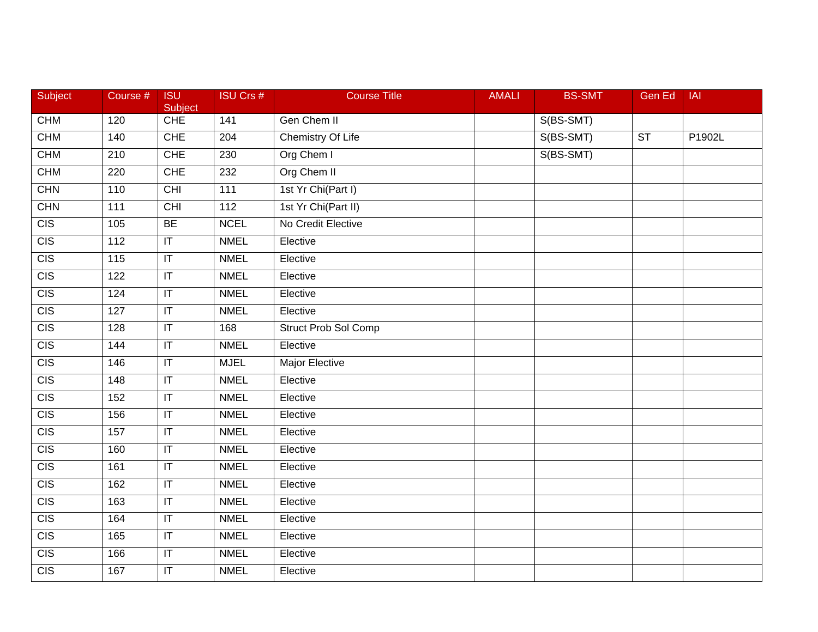| Subject          | Course #         | <b>ISU</b><br>Subject             | <b>ISU Crs #</b> | <b>Course Title</b>      | <b>AMALI</b> | <b>BS-SMT</b> | Gen Ed                 | <b>IAI</b> |
|------------------|------------------|-----------------------------------|------------------|--------------------------|--------------|---------------|------------------------|------------|
| <b>CHM</b>       | 120              | <b>CHE</b>                        | 141              | Gen Chem II              |              | S(BS-SMT)     |                        |            |
| <b>CHM</b>       | 140              | <b>CHE</b>                        | $\overline{204}$ | <b>Chemistry Of Life</b> |              | S(BS-SMT)     | $\overline{\text{ST}}$ | P1902L     |
| <b>CHM</b>       | 210              | <b>CHE</b>                        | 230              | Org Chem I               |              | S(BS-SMT)     |                        |            |
| <b>CHM</b>       | 220              | <b>CHE</b>                        | 232              | Org Chem II              |              |               |                        |            |
| <b>CHN</b>       | 110              | CHI                               | 111              | 1st Yr Chi(Part I)       |              |               |                        |            |
| CHN              | 111              | <b>CHI</b>                        | $\overline{112}$ | 1st Yr Chi(Part II)      |              |               |                        |            |
| $\overline{CIS}$ | 105              | BE                                | <b>NCEL</b>      | No Credit Elective       |              |               |                        |            |
| CIS              | $\overline{112}$ | $\overline{\mathsf{T}}$           | <b>NMEL</b>      | Elective                 |              |               |                        |            |
| CIS              | 115              | $\overline{\mathbb{L}}$           | <b>NMEL</b>      | Elective                 |              |               |                        |            |
| $\overline{CIS}$ | 122              | $\overline{\mathsf{T}}$           | <b>NMEL</b>      | Elective                 |              |               |                        |            |
| CIS              | 124              | $\sf IT$                          | <b>NMEL</b>      | Elective                 |              |               |                        |            |
| CIS              | 127              | $\overline{\mathsf{T}}$           | <b>NMEL</b>      | Elective                 |              |               |                        |            |
| CIS              | 128              | $\overline{\mathbb{I}}$           | 168              | Struct Prob Sol Comp     |              |               |                        |            |
| CIS              | 144              | $\sf IT$                          | <b>NMEL</b>      | Elective                 |              |               |                        |            |
| CIS              | 146              | $\sf IT$                          | <b>MJEL</b>      | <b>Major Elective</b>    |              |               |                        |            |
| CIS              | 148              | $\sf IT$                          | <b>NMEL</b>      | Elective                 |              |               |                        |            |
| $\overline{CIS}$ | 152              | $\overline{\mathsf{T}}$           | <b>NMEL</b>      | Elective                 |              |               |                        |            |
| CIS              | 156              | $\overline{\mathsf{T}}$           | <b>NMEL</b>      | Elective                 |              |               |                        |            |
| CIS              | 157              | $\sf IT$                          | <b>NMEL</b>      | Elective                 |              |               |                        |            |
| $\overline{CIS}$ | 160              | $\overline{\mathbb{L}}$           | <b>NMEL</b>      | Elective                 |              |               |                        |            |
| CIS              | 161              | $\overline{\mathsf{I}\mathsf{T}}$ | <b>NMEL</b>      | Elective                 |              |               |                        |            |
| CIS              | 162              | $\overline{\mathsf{I}\mathsf{T}}$ | <b>NMEL</b>      | Elective                 |              |               |                        |            |
| $\overline{CIS}$ | 163              | $\overline{\mathsf{T}}$           | <b>NMEL</b>      | Elective                 |              |               |                        |            |
| CIS              | 164              | $\overline{\mathsf{I}\mathsf{T}}$ | <b>NMEL</b>      | Elective                 |              |               |                        |            |
| $\overline{CIS}$ | 165              | $\mathsf{I}\mathsf{T}$            | <b>NMEL</b>      | Elective                 |              |               |                        |            |
| CIS              | 166              | $\sf IT$                          | <b>NMEL</b>      | Elective                 |              |               |                        |            |
| CIS              | 167              | $\overline{\mathbb{T}}$           | <b>NMEL</b>      | Elective                 |              |               |                        |            |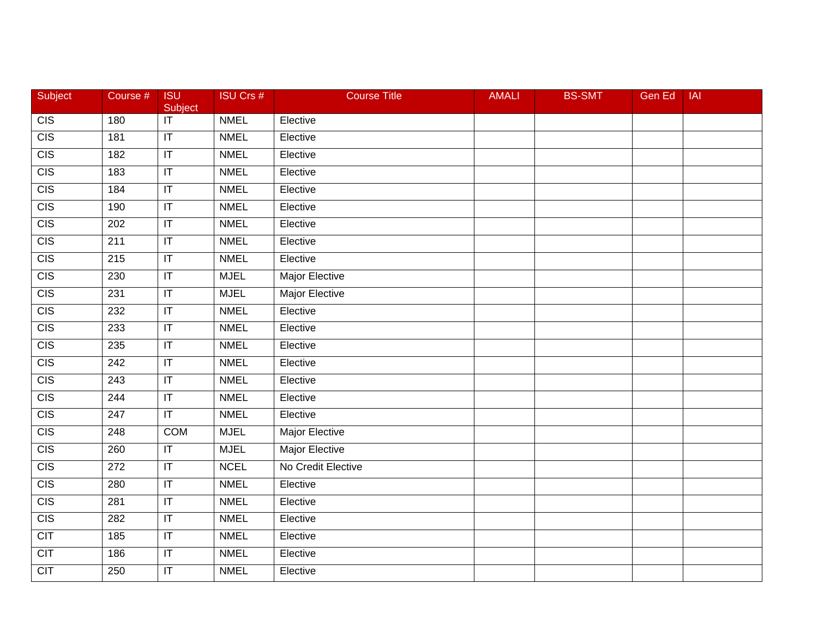| Subject          | Course #         | <b>ISU</b><br>Subject             | <b>ISU Crs #</b> | <b>Course Title</b>   | <b>AMALI</b> | <b>BS-SMT</b> | Gen Ed | <b>IAI</b> |
|------------------|------------------|-----------------------------------|------------------|-----------------------|--------------|---------------|--------|------------|
| CIS              | 180              | $\overline{\mathsf{T}}$           | <b>NMEL</b>      | Elective              |              |               |        |            |
| CIS              | 181              | $\overline{\mathbb{F}}$           | <b>NMEL</b>      | Elective              |              |               |        |            |
| CIS              | 182              | $\overline{\mathbb{I}}$           | <b>NMEL</b>      | Elective              |              |               |        |            |
| CIS              | 183              | $\overline{\mathbb{T}}$           | <b>NMEL</b>      | Elective              |              |               |        |            |
| CIS              | 184              | $\sf IT$                          | <b>NMEL</b>      | Elective              |              |               |        |            |
| CIS              | 190              | $\sf IT$                          | <b>NMEL</b>      | Elective              |              |               |        |            |
| CIS              | 202              | $\overline{\mathbb{T}}$           | <b>NMEL</b>      | Elective              |              |               |        |            |
| CIS              | $\overline{211}$ | $\mathsf{I}\mathsf{T}$            | <b>NMEL</b>      | Elective              |              |               |        |            |
| CIS              | 215              | $\overline{\mathsf{I}\mathsf{T}}$ | <b>NMEL</b>      | Elective              |              |               |        |            |
| $\overline{CIS}$ | 230              | $\overline{\mathbb{F}}$           | <b>MJEL</b>      | <b>Major Elective</b> |              |               |        |            |
| <b>CIS</b>       | 231              | $ \mathsf{T} $                    | <b>MJEL</b>      | Major Elective        |              |               |        |            |
| CIS              | 232              | $\overline{\mathsf{T}}$           | <b>NMEL</b>      | Elective              |              |               |        |            |
| CIS              | 233              | $\overline{\mathbb{I}}$           | <b>NMEL</b>      | Elective              |              |               |        |            |
| CIS              | 235              | $\overline{\mathsf{I}\mathsf{T}}$ | <b>NMEL</b>      | Elective              |              |               |        |            |
| CIS              | 242              | $\overline{\mathsf{I}\mathsf{T}}$ | <b>NMEL</b>      | Elective              |              |               |        |            |
| CIS              | 243              | $\sf IT$                          | <b>NMEL</b>      | Elective              |              |               |        |            |
| CIS              | 244              | $\overline{\mathbb{I}}$           | <b>NMEL</b>      | Elective              |              |               |        |            |
| CIS              | $\overline{247}$ | $\overline{\mathbb{T}}$           | <b>NMEL</b>      | Elective              |              |               |        |            |
| CIS              | 248              | <b>COM</b>                        | <b>MJEL</b>      | Major Elective        |              |               |        |            |
| CIS              | 260              | $\overline{\mathsf{T}}$           | <b>MJEL</b>      | <b>Major Elective</b> |              |               |        |            |
| CIS              | 272              | $\mathsf{I}\mathsf{T}$            | <b>NCEL</b>      | No Credit Elective    |              |               |        |            |
| CIS              | 280              | $\overline{\mathbb{I}}$           | <b>NMEL</b>      | Elective              |              |               |        |            |
| CIS              | 281              | $\overline{\mathsf{T}}$           | <b>NMEL</b>      | Elective              |              |               |        |            |
| CIS              | 282              | $\overline{\mathsf{I}\mathsf{T}}$ | <b>NMEL</b>      | Elective              |              |               |        |            |
| <b>CIT</b>       | 185              | $\sf IT$                          | <b>NMEL</b>      | Elective              |              |               |        |            |
| <b>CIT</b>       | 186              | $\sf IT$                          | <b>NMEL</b>      | Elective              |              |               |        |            |
| CIT              | 250              | $\overline{\mathbb{T}}$           | <b>NMEL</b>      | Elective              |              |               |        |            |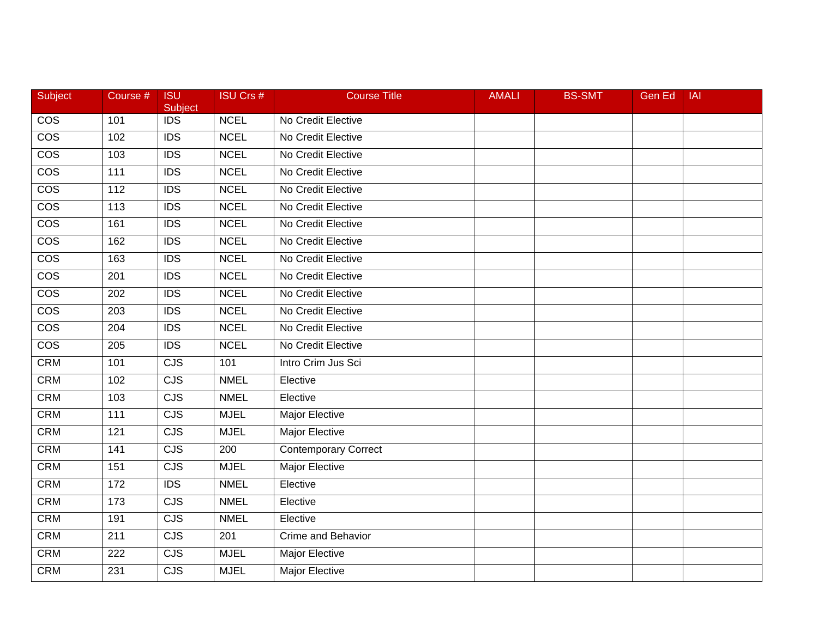| Subject                 | Course #         | <b>ISU</b><br>Subject   | <b>ISU Crs #</b> | <b>Course Title</b>         | <b>AMALI</b> | <b>BS-SMT</b> | <b>Gen Ed</b> | <b>IAI</b> |
|-------------------------|------------------|-------------------------|------------------|-----------------------------|--------------|---------------|---------------|------------|
| $\overline{\text{cos}}$ | 101              | <b>IDS</b>              | <b>NCEL</b>      | No Credit Elective          |              |               |               |            |
| $\overline{\text{cos}}$ | 102              | $\overline{IDS}$        | <b>NCEL</b>      | No Credit Elective          |              |               |               |            |
| $\overline{\cos}$       | 103              | <b>IDS</b>              | <b>NCEL</b>      | No Credit Elective          |              |               |               |            |
| $\overline{\cos}$       | 111              | $\overline{IDS}$        | <b>NCEL</b>      | No Credit Elective          |              |               |               |            |
| $\overline{\text{cos}}$ | 112              | <b>IDS</b>              | <b>NCEL</b>      | No Credit Elective          |              |               |               |            |
| $\overline{\cos}$       | 113              | <b>IDS</b>              | <b>NCEL</b>      | No Credit Elective          |              |               |               |            |
| $\overline{\cos}$       | 161              | IDS                     | <b>NCEL</b>      | No Credit Elective          |              |               |               |            |
| $\overline{\cos}$       | 162              | <b>IDS</b>              | <b>NCEL</b>      | No Credit Elective          |              |               |               |            |
| $\overline{\cos}$       | 163              | $\overline{IDS}$        | <b>NCEL</b>      | No Credit Elective          |              |               |               |            |
| $\overline{\text{cos}}$ | 201              | <b>IDS</b>              | <b>NCEL</b>      | No Credit Elective          |              |               |               |            |
| <b>COS</b>              | 202              | <b>IDS</b>              | <b>NCEL</b>      | No Credit Elective          |              |               |               |            |
| $\overline{\cos}$       | 203              | $\overline{IDS}$        | <b>NCEL</b>      | No Credit Elective          |              |               |               |            |
| $\overline{\cos}$       | 204              | $\overline{IDS}$        | <b>NCEL</b>      | No Credit Elective          |              |               |               |            |
| $\overline{\cos}$       | 205              | <b>IDS</b>              | <b>NCEL</b>      | No Credit Elective          |              |               |               |            |
| <b>CRM</b>              | 101              | $\overline{\text{CJS}}$ | 101              | Intro Crim Jus Sci          |              |               |               |            |
| <b>CRM</b>              | 102              | <b>CJS</b>              | <b>NMEL</b>      | Elective                    |              |               |               |            |
| <b>CRM</b>              | 103              | CJS                     | <b>NMEL</b>      | Elective                    |              |               |               |            |
| <b>CRM</b>              | $\overline{111}$ | $\overline{\text{CJS}}$ | <b>MJEL</b>      | <b>Major Elective</b>       |              |               |               |            |
| <b>CRM</b>              | 121              | CJS                     | <b>MJEL</b>      | Major Elective              |              |               |               |            |
| <b>CRM</b>              | 141              | <b>CJS</b>              | 200              | <b>Contemporary Correct</b> |              |               |               |            |
| <b>CRM</b>              | 151              | <b>CJS</b>              | <b>MJEL</b>      | Major Elective              |              |               |               |            |
| <b>CRM</b>              | 172              | IDS                     | <b>NMEL</b>      | Elective                    |              |               |               |            |
| <b>CRM</b>              | 173              | CJS                     | <b>NMEL</b>      | Elective                    |              |               |               |            |
| <b>CRM</b>              | 191              | CJS                     | <b>NMEL</b>      | Elective                    |              |               |               |            |
| <b>CRM</b>              | 211              | <b>CJS</b>              | 201              | Crime and Behavior          |              |               |               |            |
| <b>CRM</b>              | 222              | <b>CJS</b>              | <b>MJEL</b>      | Major Elective              |              |               |               |            |
| <b>CRM</b>              | 231              | CJS                     | <b>MJEL</b>      | Major Elective              |              |               |               |            |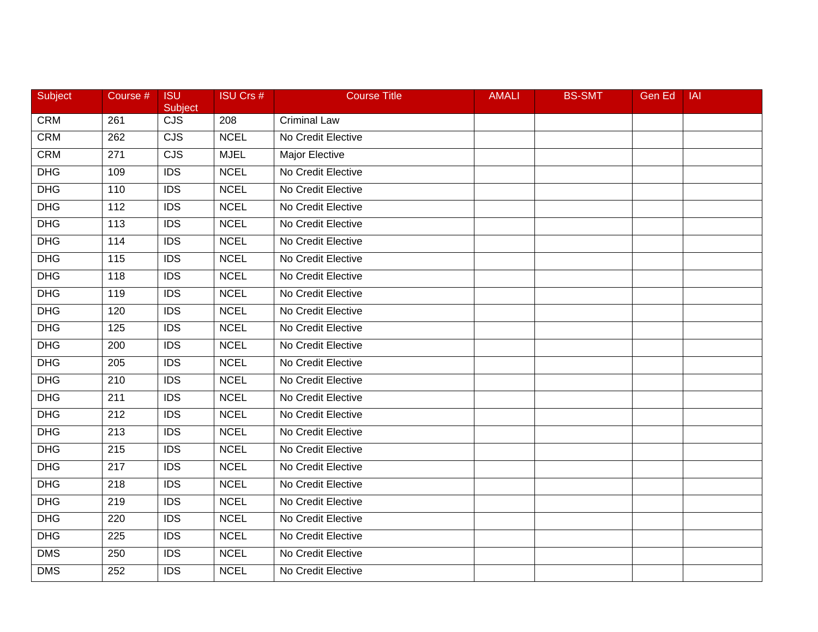| Subject    | Course #         | <b>ISU</b><br>Subject   | <b>ISU Crs #</b> | <b>Course Title</b> | <b>AMALI</b> | <b>BS-SMT</b> | Gen Ed | <b>IAI</b> |
|------------|------------------|-------------------------|------------------|---------------------|--------------|---------------|--------|------------|
| <b>CRM</b> | 261              | $\overline{\text{CJS}}$ | 208              | <b>Criminal Law</b> |              |               |        |            |
| <b>CRM</b> | 262              | CJS                     | <b>NCEL</b>      | No Credit Elective  |              |               |        |            |
| <b>CRM</b> | 271              | $\overline{\text{CJS}}$ | <b>MJEL</b>      | Major Elective      |              |               |        |            |
| DHG        | 109              | <b>IDS</b>              | <b>NCEL</b>      | No Credit Elective  |              |               |        |            |
| <b>DHG</b> | 110              | <b>IDS</b>              | <b>NCEL</b>      | No Credit Elective  |              |               |        |            |
| <b>DHG</b> | 112              | <b>IDS</b>              | <b>NCEL</b>      | No Credit Elective  |              |               |        |            |
| <b>DHG</b> | 113              | $\overline{IDS}$        | <b>NCEL</b>      | No Credit Elective  |              |               |        |            |
| <b>DHG</b> | $\overline{114}$ | $\overline{IDS}$        | <b>NCEL</b>      | No Credit Elective  |              |               |        |            |
| <b>DHG</b> | 115              | <b>IDS</b>              | <b>NCEL</b>      | No Credit Elective  |              |               |        |            |
| <b>DHG</b> | 118              | <b>IDS</b>              | <b>NCEL</b>      | No Credit Elective  |              |               |        |            |
| <b>DHG</b> | 119              | <b>IDS</b>              | <b>NCEL</b>      | No Credit Elective  |              |               |        |            |
| <b>DHG</b> | 120              | $\overline{IDS}$        | <b>NCEL</b>      | No Credit Elective  |              |               |        |            |
| <b>DHG</b> | $\overline{125}$ | $\overline{IDS}$        | <b>NCEL</b>      | No Credit Elective  |              |               |        |            |
| <b>DHG</b> | 200              | <b>IDS</b>              | <b>NCEL</b>      | No Credit Elective  |              |               |        |            |
| <b>DHG</b> | 205              | <b>IDS</b>              | <b>NCEL</b>      | No Credit Elective  |              |               |        |            |
| <b>DHG</b> | 210              | <b>IDS</b>              | <b>NCEL</b>      | No Credit Elective  |              |               |        |            |
| <b>DHG</b> | 211              | $\overline{IDS}$        | <b>NCEL</b>      | No Credit Elective  |              |               |        |            |
| <b>DHG</b> | 212              | $\overline{IDS}$        | <b>NCEL</b>      | No Credit Elective  |              |               |        |            |
| <b>DHG</b> | 213              | <b>IDS</b>              | <b>NCEL</b>      | No Credit Elective  |              |               |        |            |
| <b>DHG</b> | 215              | <b>IDS</b>              | <b>NCEL</b>      | No Credit Elective  |              |               |        |            |
| <b>DHG</b> | 217              | $\overline{IDS}$        | <b>NCEL</b>      | No Credit Elective  |              |               |        |            |
| <b>DHG</b> | 218              | <b>IDS</b>              | <b>NCEL</b>      | No Credit Elective  |              |               |        |            |
| <b>DHG</b> | 219              | $\overline{IDS}$        | <b>NCEL</b>      | No Credit Elective  |              |               |        |            |
| <b>DHG</b> | 220              | <b>IDS</b>              | <b>NCEL</b>      | No Credit Elective  |              |               |        |            |
| <b>DHG</b> | 225              | <b>IDS</b>              | <b>NCEL</b>      | No Credit Elective  |              |               |        |            |
| <b>DMS</b> | 250              | <b>IDS</b>              | <b>NCEL</b>      | No Credit Elective  |              |               |        |            |
| <b>DMS</b> | 252              | <b>IDS</b>              | <b>NCEL</b>      | No Credit Elective  |              |               |        |            |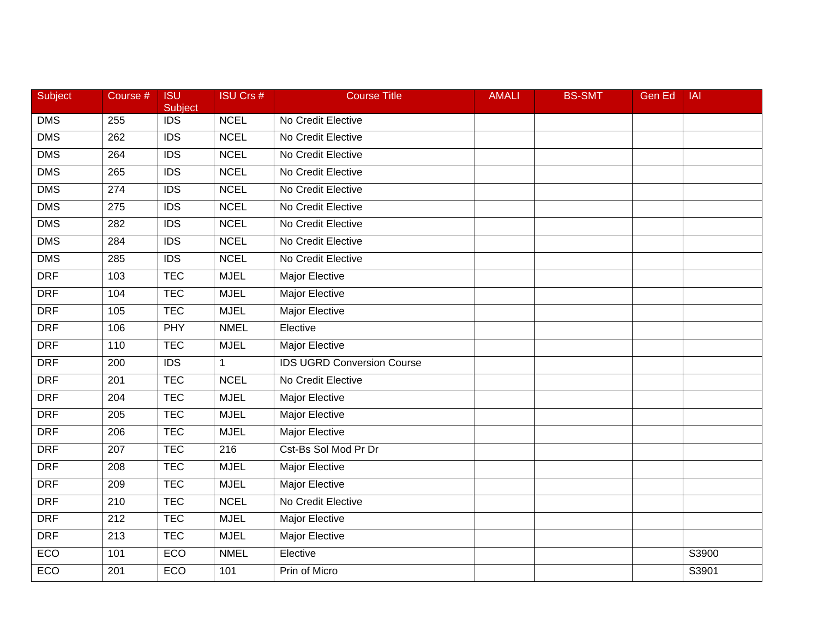| Subject    | Course #         | <b>ISU</b><br>Subject | <b>ISU Crs #</b> | <b>Course Title</b>               | <b>AMALI</b> | <b>BS-SMT</b> | <b>Gen Ed</b> | <b>IAI</b> |
|------------|------------------|-----------------------|------------------|-----------------------------------|--------------|---------------|---------------|------------|
| <b>DMS</b> | 255              | <b>IDS</b>            | <b>NCEL</b>      | No Credit Elective                |              |               |               |            |
| <b>DMS</b> | 262              | $\overline{IDS}$      | <b>NCEL</b>      | No Credit Elective                |              |               |               |            |
| <b>DMS</b> | 264              | <b>IDS</b>            | <b>NCEL</b>      | No Credit Elective                |              |               |               |            |
| <b>DMS</b> | 265              | <b>IDS</b>            | <b>NCEL</b>      | No Credit Elective                |              |               |               |            |
| <b>DMS</b> | 274              | <b>IDS</b>            | <b>NCEL</b>      | No Credit Elective                |              |               |               |            |
| <b>DMS</b> | 275              | $\overline{IDS}$      | <b>NCEL</b>      | No Credit Elective                |              |               |               |            |
| <b>DMS</b> | 282              | $\overline{IDS}$      | <b>NCEL</b>      | No Credit Elective                |              |               |               |            |
| <b>DMS</b> | 284              | <b>IDS</b>            | <b>NCEL</b>      | No Credit Elective                |              |               |               |            |
| <b>DMS</b> | 285              | $\overline{IDS}$      | <b>NCEL</b>      | No Credit Elective                |              |               |               |            |
| <b>DRF</b> | 103              | <b>TEC</b>            | <b>MJEL</b>      | <b>Major Elective</b>             |              |               |               |            |
| <b>DRF</b> | 104              | <b>TEC</b>            | <b>MJEL</b>      | Major Elective                    |              |               |               |            |
| <b>DRF</b> | 105              | <b>TEC</b>            | <b>MJEL</b>      | <b>Major Elective</b>             |              |               |               |            |
| <b>DRF</b> | 106              | <b>PHY</b>            | <b>NMEL</b>      | Elective                          |              |               |               |            |
| <b>DRF</b> | 110              | <b>TEC</b>            | <b>MJEL</b>      | Major Elective                    |              |               |               |            |
| <b>DRF</b> | 200              | <b>IDS</b>            | $\mathbf{1}$     | <b>IDS UGRD Conversion Course</b> |              |               |               |            |
| <b>DRF</b> | 201              | <b>TEC</b>            | <b>NCEL</b>      | No Credit Elective                |              |               |               |            |
| <b>DRF</b> | 204              | <b>TEC</b>            | <b>MJEL</b>      | <b>Major Elective</b>             |              |               |               |            |
| <b>DRF</b> | $\overline{205}$ | <b>TEC</b>            | <b>MJEL</b>      | <b>Major Elective</b>             |              |               |               |            |
| <b>DRF</b> | 206              | <b>TEC</b>            | <b>MJEL</b>      | Major Elective                    |              |               |               |            |
| <b>DRF</b> | 207              | <b>TEC</b>            | 216              | Cst-Bs Sol Mod Pr Dr              |              |               |               |            |
| <b>DRF</b> | 208              | <b>TEC</b>            | <b>MJEL</b>      | <b>Major Elective</b>             |              |               |               |            |
| <b>DRF</b> | 209              | <b>TEC</b>            | <b>MJEL</b>      | Major Elective                    |              |               |               |            |
| <b>DRF</b> | 210              | <b>TEC</b>            | <b>NCEL</b>      | No Credit Elective                |              |               |               |            |
| <b>DRF</b> | 212              | <b>TEC</b>            | <b>MJEL</b>      | Major Elective                    |              |               |               |            |
| <b>DRF</b> | 213              | <b>TEC</b>            | <b>MJEL</b>      | Major Elective                    |              |               |               |            |
| ECO        | 101              | ECO                   | <b>NMEL</b>      | Elective                          |              |               |               | S3900      |
| ECO        | 201              | ECO                   | 101              | Prin of Micro                     |              |               |               | S3901      |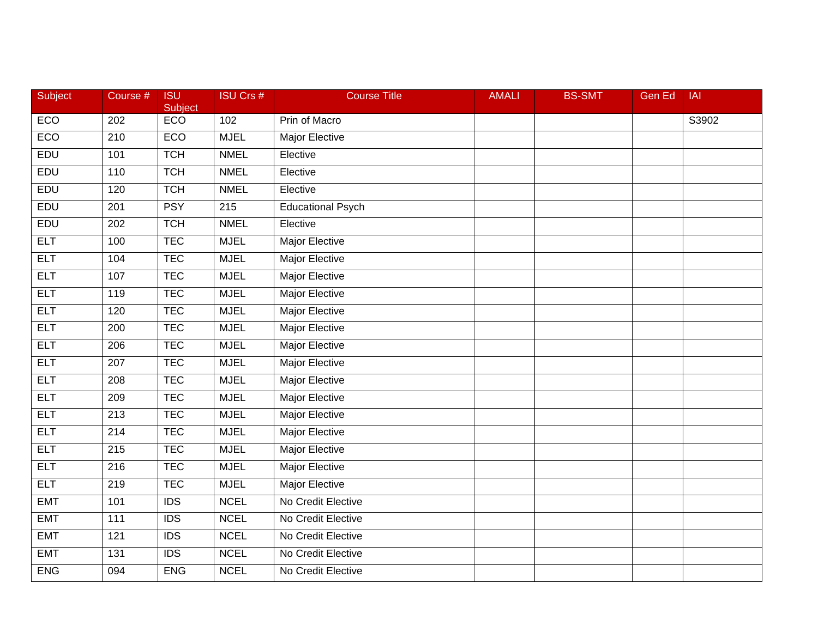| Subject    | Course #         | <b>ISU</b><br>Subject | <b>ISU Crs #</b> | <b>Course Title</b>      | <b>AMALI</b> | <b>BS-SMT</b> | <b>Gen Ed</b> | <b>IAI</b> |
|------------|------------------|-----------------------|------------------|--------------------------|--------------|---------------|---------------|------------|
| ECO        | 202              | ECO                   | 102              | Prin of Macro            |              |               |               | S3902      |
| ECO        | 210              | ECO                   | <b>MJEL</b>      | <b>Major Elective</b>    |              |               |               |            |
| EDU        | 101              | <b>TCH</b>            | <b>NMEL</b>      | Elective                 |              |               |               |            |
| EDU        | 110              | <b>TCH</b>            | <b>NMEL</b>      | Elective                 |              |               |               |            |
| EDU        | 120              | <b>TCH</b>            | <b>NMEL</b>      | Elective                 |              |               |               |            |
| EDU        | 201              | <b>PSY</b>            | 215              | <b>Educational Psych</b> |              |               |               |            |
| EDU        | 202              | <b>TCH</b>            | <b>NMEL</b>      | Elective                 |              |               |               |            |
| <b>ELT</b> | 100              | <b>TEC</b>            | <b>MJEL</b>      | <b>Major Elective</b>    |              |               |               |            |
| <b>ELT</b> | 104              | <b>TEC</b>            | <b>MJEL</b>      | <b>Major Elective</b>    |              |               |               |            |
| <b>ELT</b> | 107              | <b>TEC</b>            | <b>MJEL</b>      | Major Elective           |              |               |               |            |
| <b>ELT</b> | 119              | <b>TEC</b>            | <b>MJEL</b>      | Major Elective           |              |               |               |            |
| <b>ELT</b> | 120              | <b>TEC</b>            | <b>MJEL</b>      | <b>Major Elective</b>    |              |               |               |            |
| <b>ELT</b> | 200              | <b>TEC</b>            | <b>MJEL</b>      | <b>Major Elective</b>    |              |               |               |            |
| <b>ELT</b> | 206              | <b>TEC</b>            | <b>MJEL</b>      | <b>Major Elective</b>    |              |               |               |            |
| <b>ELT</b> | 207              | <b>TEC</b>            | <b>MJEL</b>      | <b>Major Elective</b>    |              |               |               |            |
| <b>ELT</b> | 208              | <b>TEC</b>            | <b>MJEL</b>      | Major Elective           |              |               |               |            |
| <b>ELT</b> | 209              | <b>TEC</b>            | <b>MJEL</b>      | <b>Major Elective</b>    |              |               |               |            |
| <b>ELT</b> | 213              | <b>TEC</b>            | <b>MJEL</b>      | <b>Major Elective</b>    |              |               |               |            |
| <b>ELT</b> | 214              | <b>TEC</b>            | <b>MJEL</b>      | <b>Major Elective</b>    |              |               |               |            |
| <b>ELT</b> | 215              | <b>TEC</b>            | <b>MJEL</b>      | <b>Major Elective</b>    |              |               |               |            |
| <b>ELT</b> | 216              | <b>TEC</b>            | <b>MJEL</b>      | <b>Major Elective</b>    |              |               |               |            |
| <b>ELT</b> | 219              | <b>TEC</b>            | <b>MJEL</b>      | <b>Major Elective</b>    |              |               |               |            |
| <b>EMT</b> | 101              | $\overline{IDS}$      | <b>NCEL</b>      | No Credit Elective       |              |               |               |            |
| <b>EMT</b> | $\frac{111}{11}$ | $\overline{IDS}$      | <b>NCEL</b>      | No Credit Elective       |              |               |               |            |
| <b>EMT</b> | 121              | <b>IDS</b>            | <b>NCEL</b>      | No Credit Elective       |              |               |               |            |
| <b>EMT</b> | 131              | <b>IDS</b>            | <b>NCEL</b>      | No Credit Elective       |              |               |               |            |
| <b>ENG</b> | 094              | <b>ENG</b>            | <b>NCEL</b>      | No Credit Elective       |              |               |               |            |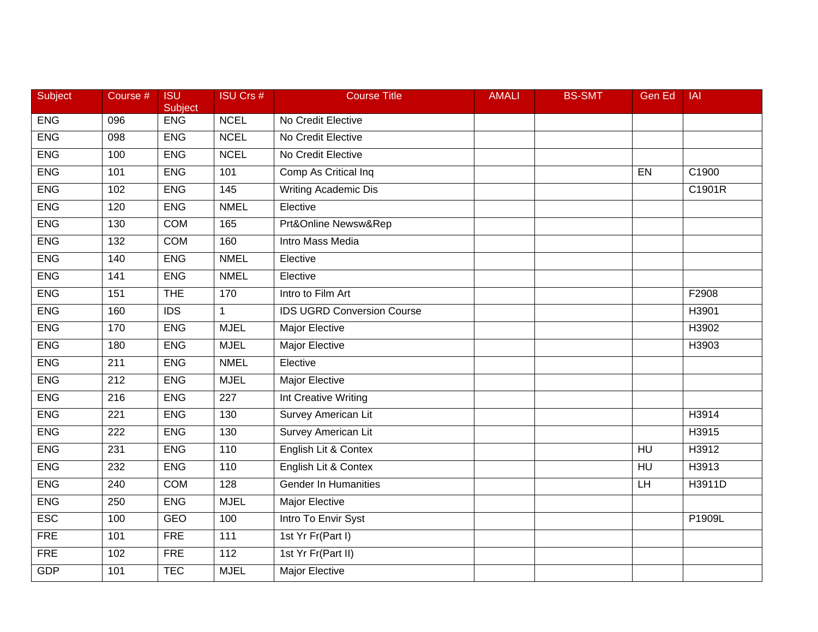| Subject    | Course #         | <b>ISU</b><br>Subject | <b>ISU Crs #</b> | <b>Course Title</b>               | <b>AMALI</b> | <b>BS-SMT</b> | <b>Gen Ed</b>  | <b>IAI</b> |
|------------|------------------|-----------------------|------------------|-----------------------------------|--------------|---------------|----------------|------------|
| <b>ENG</b> | 096              | <b>ENG</b>            | <b>NCEL</b>      | No Credit Elective                |              |               |                |            |
| <b>ENG</b> | 098              | <b>ENG</b>            | <b>NCEL</b>      | No Credit Elective                |              |               |                |            |
| <b>ENG</b> | 100              | <b>ENG</b>            | <b>NCEL</b>      | No Credit Elective                |              |               |                |            |
| <b>ENG</b> | 101              | <b>ENG</b>            | 101              | Comp As Critical Inq              |              |               | EN             | C1900      |
| <b>ENG</b> | 102              | <b>ENG</b>            | 145              | Writing Academic Dis              |              |               |                | C1901R     |
| <b>ENG</b> | 120              | <b>ENG</b>            | <b>NMEL</b>      | Elective                          |              |               |                |            |
| <b>ENG</b> | 130              | <b>COM</b>            | 165              | Prt&Online Newsw&Rep              |              |               |                |            |
| <b>ENG</b> | 132              | <b>COM</b>            | 160              | <b>Intro Mass Media</b>           |              |               |                |            |
| <b>ENG</b> | 140              | <b>ENG</b>            | <b>NMEL</b>      | Elective                          |              |               |                |            |
| <b>ENG</b> | 141              | <b>ENG</b>            | <b>NMEL</b>      | Elective                          |              |               |                |            |
| <b>ENG</b> | 151              | <b>THE</b>            | 170              | Intro to Film Art                 |              |               |                | F2908      |
| <b>ENG</b> | 160              | $\overline{IDS}$      | $\mathbf{1}$     | <b>IDS UGRD Conversion Course</b> |              |               |                | H3901      |
| <b>ENG</b> | 170              | <b>ENG</b>            | <b>MJEL</b>      | <b>Major Elective</b>             |              |               |                | H3902      |
| <b>ENG</b> | 180              | <b>ENG</b>            | <b>MJEL</b>      | <b>Major Elective</b>             |              |               |                | H3903      |
| <b>ENG</b> | 211              | <b>ENG</b>            | <b>NMEL</b>      | Elective                          |              |               |                |            |
| <b>ENG</b> | 212              | <b>ENG</b>            | <b>MJEL</b>      | Major Elective                    |              |               |                |            |
| <b>ENG</b> | 216              | <b>ENG</b>            | $\overline{227}$ | <b>Int Creative Writing</b>       |              |               |                |            |
| <b>ENG</b> | $\overline{221}$ | <b>ENG</b>            | 130              | <b>Survey American Lit</b>        |              |               |                | H3914      |
| <b>ENG</b> | 222              | <b>ENG</b>            | 130              | <b>Survey American Lit</b>        |              |               |                | H3915      |
| <b>ENG</b> | 231              | <b>ENG</b>            | 110              | English Lit & Contex              |              |               | H <sub>U</sub> | H3912      |
| <b>ENG</b> | 232              | <b>ENG</b>            | 110              | English Lit & Contex              |              |               | HU             | H3913      |
| <b>ENG</b> | 240              | <b>COM</b>            | 128              | <b>Gender In Humanities</b>       |              |               | H              | H3911D     |
| <b>ENG</b> | 250              | <b>ENG</b>            | <b>MJEL</b>      | <b>Major Elective</b>             |              |               |                |            |
| <b>ESC</b> | 100              | <b>GEO</b>            | 100              | Intro To Envir Syst               |              |               |                | P1909L     |
| <b>FRE</b> | 101              | <b>FRE</b>            | 111              | 1st Yr Fr(Part I)                 |              |               |                |            |
| <b>FRE</b> | 102              | <b>FRE</b>            | $\frac{11}{2}$   | 1st Yr Fr(Part II)                |              |               |                |            |
| <b>GDP</b> | 101              | <b>TEC</b>            | <b>MJEL</b>      | <b>Major Elective</b>             |              |               |                |            |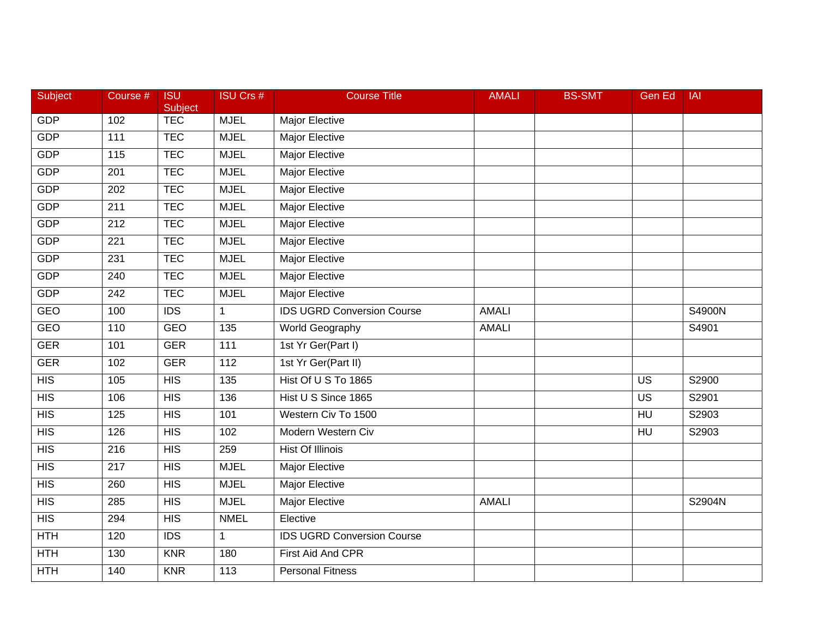| Subject          | Course # | <b>ISU</b><br>Subject | <b>ISU Crs #</b> | <b>Course Title</b>               | <b>AMALI</b> | <b>BS-SMT</b> | Gen Ed          | <b>IAI</b> |
|------------------|----------|-----------------------|------------------|-----------------------------------|--------------|---------------|-----------------|------------|
| GDP              | 102      | <b>TEC</b>            | <b>MJEL</b>      | Major Elective                    |              |               |                 |            |
| <b>GDP</b>       | 111      | <b>TEC</b>            | <b>MJEL</b>      | <b>Major Elective</b>             |              |               |                 |            |
| <b>GDP</b>       | 115      | <b>TEC</b>            | <b>MJEL</b>      | Major Elective                    |              |               |                 |            |
| <b>GDP</b>       | 201      | <b>TEC</b>            | <b>MJEL</b>      | Major Elective                    |              |               |                 |            |
| GDP              | 202      | <b>TEC</b>            | <b>MJEL</b>      | Major Elective                    |              |               |                 |            |
| <b>GDP</b>       | 211      | <b>TEC</b>            | <b>MJEL</b>      | Major Elective                    |              |               |                 |            |
| <b>GDP</b>       | 212      | <b>TEC</b>            | <b>MJEL</b>      | <b>Major Elective</b>             |              |               |                 |            |
| <b>GDP</b>       | 221      | <b>TEC</b>            | <b>MJEL</b>      | <b>Major Elective</b>             |              |               |                 |            |
| <b>GDP</b>       | 231      | <b>TEC</b>            | <b>MJEL</b>      | Major Elective                    |              |               |                 |            |
| <b>GDP</b>       | 240      | <b>TEC</b>            | <b>MJEL</b>      | <b>Major Elective</b>             |              |               |                 |            |
| <b>GDP</b>       | 242      | <b>TEC</b>            | <b>MJEL</b>      | Major Elective                    |              |               |                 |            |
| GEO              | 100      | $\overline{IDS}$      | $\mathbf{1}$     | <b>IDS UGRD Conversion Course</b> | <b>AMALI</b> |               |                 | S4900N     |
| <b>GEO</b>       | 110      | <b>GEO</b>            | 135              | World Geography                   | <b>AMALI</b> |               |                 | S4901      |
| <b>GER</b>       | 101      | <b>GER</b>            | 111              | 1st Yr Ger(Part I)                |              |               |                 |            |
| <b>GER</b>       | 102      | <b>GER</b>            | 112              | 1st Yr Ger(Part II)               |              |               |                 |            |
| <b>HIS</b>       | 105      | <b>HIS</b>            | 135              | Hist Of U S To 1865               |              |               | <b>US</b>       | S2900      |
| $\overline{HIS}$ | 106      | HIS                   | 136              | Hist U S Since 1865               |              |               | $\overline{US}$ | S2901      |
| HIS              | 125      | HIS                   | 101              | Western Civ To 1500               |              |               | H <sub>U</sub>  | S2903      |
| <b>HIS</b>       | 126      | <b>HIS</b>            | 102              | Modern Western Civ                |              |               | HU              | S2903      |
| $\overline{HIS}$ | 216      | <b>HIS</b>            | 259              | <b>Hist Of Illinois</b>           |              |               |                 |            |
| $\overline{HIS}$ | 217      | HIS                   | <b>MJEL</b>      | <b>Major Elective</b>             |              |               |                 |            |
| $\overline{HIS}$ | 260      | HIS                   | <b>MJEL</b>      | <b>Major Elective</b>             |              |               |                 |            |
| $\overline{HIS}$ | 285      | HIS                   | <b>MJEL</b>      | <b>Major Elective</b>             | <b>AMALI</b> |               |                 | S2904N     |
| HIS              | 294      | <b>HIS</b>            | <b>NMEL</b>      | Elective                          |              |               |                 |            |
| <b>HTH</b>       | 120      | <b>IDS</b>            | $\mathbf 1$      | <b>IDS UGRD Conversion Course</b> |              |               |                 |            |
| <b>HTH</b>       | 130      | <b>KNR</b>            | 180              | First Aid And CPR                 |              |               |                 |            |
| <b>HTH</b>       | 140      | <b>KNR</b>            | 113              | <b>Personal Fitness</b>           |              |               |                 |            |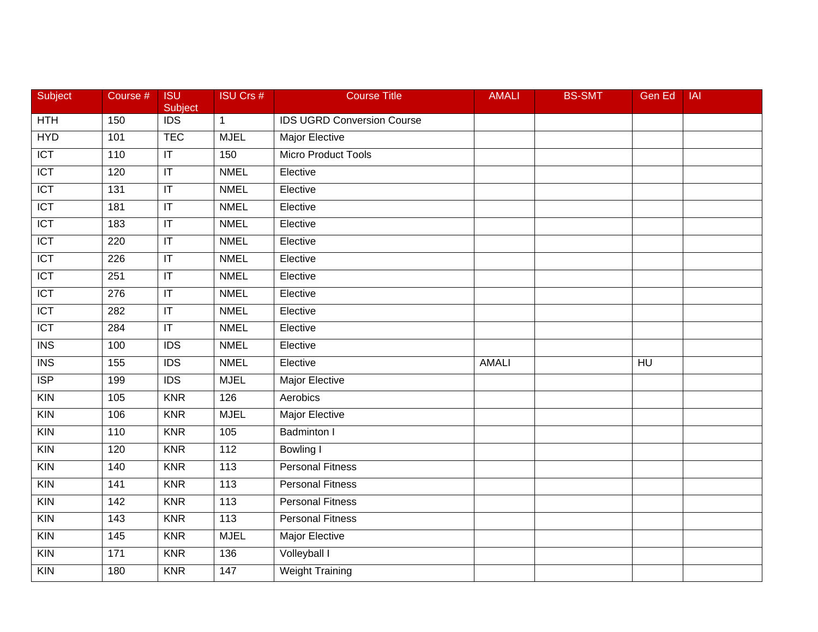| Subject                 | Course # | <b>ISU</b><br>Subject             | <b>ISU Crs #</b>  | <b>Course Title</b>               | <b>AMALI</b> | <b>BS-SMT</b> | Gen Ed          | <b>IAI</b> |
|-------------------------|----------|-----------------------------------|-------------------|-----------------------------------|--------------|---------------|-----------------|------------|
| HTH                     | 150      | <b>IDS</b>                        | $\mathbf{1}$      | <b>IDS UGRD Conversion Course</b> |              |               |                 |            |
| <b>HYD</b>              | 101      | <b>TEC</b>                        | <b>MJEL</b>       | <b>Major Elective</b>             |              |               |                 |            |
| $\overline{ICT}$        | 110      | $\mathsf{I}\mathsf{T}$            | 150               | <b>Micro Product Tools</b>        |              |               |                 |            |
| $\overline{ICT}$        | 120      | $\overline{\mathsf{I}\mathsf{T}}$ | <b>NMEL</b>       | Elective                          |              |               |                 |            |
| <b>ICT</b>              | 131      | $ \mathsf{T} $                    | <b>NMEL</b>       | Elective                          |              |               |                 |            |
| $\overline{ICT}$        | 181      | $\sf IT$                          | <b>NMEL</b>       | Elective                          |              |               |                 |            |
| <b>ICT</b>              | 183      | $\overline{\mathbb{T}}$           | <b>NMEL</b>       | Elective                          |              |               |                 |            |
| $\overline{ICT}$        | 220      | $ \mathsf{T} $                    | <b>NMEL</b>       | Elective                          |              |               |                 |            |
| $\overline{ICT}$        | 226      | $\overline{\mathsf{I}\mathsf{T}}$ | <b>NMEL</b>       | Elective                          |              |               |                 |            |
| $\overline{ICT}$        | 251      | $\sf IT$                          | <b>NMEL</b>       | Elective                          |              |               |                 |            |
| <b>ICT</b>              | 276      | $ \mathsf{T} $                    | <b>NMEL</b>       | Elective                          |              |               |                 |            |
| <b>ICT</b>              | 282      | $\overline{\mathbb{T}}$           | <b>NMEL</b>       | Elective                          |              |               |                 |            |
| $\overline{ICT}$        | 284      | $\overline{\mathbb{T}}$           | <b>NMEL</b>       | Elective                          |              |               |                 |            |
| $\overline{\text{INS}}$ | 100      | <b>IDS</b>                        | <b>NMEL</b>       | Elective                          |              |               |                 |            |
| $\overline{\text{INS}}$ | 155      | $\overline{IDS}$                  | <b>NMEL</b>       | Elective                          | <b>AMALI</b> |               | $\overline{HU}$ |            |
| $\overline{\text{ISP}}$ | 199      | <b>IDS</b>                        | <b>MJEL</b>       | Major Elective                    |              |               |                 |            |
| $\overline{K}$ IN       | 105      | <b>KNR</b>                        | 126               | Aerobics                          |              |               |                 |            |
| KIN                     | 106      | <b>KNR</b>                        | <b>MJEL</b>       | <b>Major Elective</b>             |              |               |                 |            |
| $\overline{K}$          | 110      | KNR                               | 105               | <b>Badminton I</b>                |              |               |                 |            |
| $\overline{K}$ IN       | 120      | <b>KNR</b>                        | 112               | Bowling I                         |              |               |                 |            |
| $\overline{K}$          | 140      | <b>KNR</b>                        | 113               | <b>Personal Fitness</b>           |              |               |                 |            |
| KIN                     | 141      | <b>KNR</b>                        | 113               | <b>Personal Fitness</b>           |              |               |                 |            |
| $\overline{K}$          | 142      | <b>KNR</b>                        | 113               | <b>Personal Fitness</b>           |              |               |                 |            |
| $\overline{K}$          | 143      | <b>KNR</b>                        | $\frac{113}{113}$ | <b>Personal Fitness</b>           |              |               |                 |            |
| <b>KIN</b>              | 145      | <b>KNR</b>                        | <b>MJEL</b>       | Major Elective                    |              |               |                 |            |
| $\overline{K}$          | 171      | <b>KNR</b>                        | 136               | Volleyball I                      |              |               |                 |            |
| $\overline{K}$ IN       | 180      | <b>KNR</b>                        | 147               | <b>Weight Training</b>            |              |               |                 |            |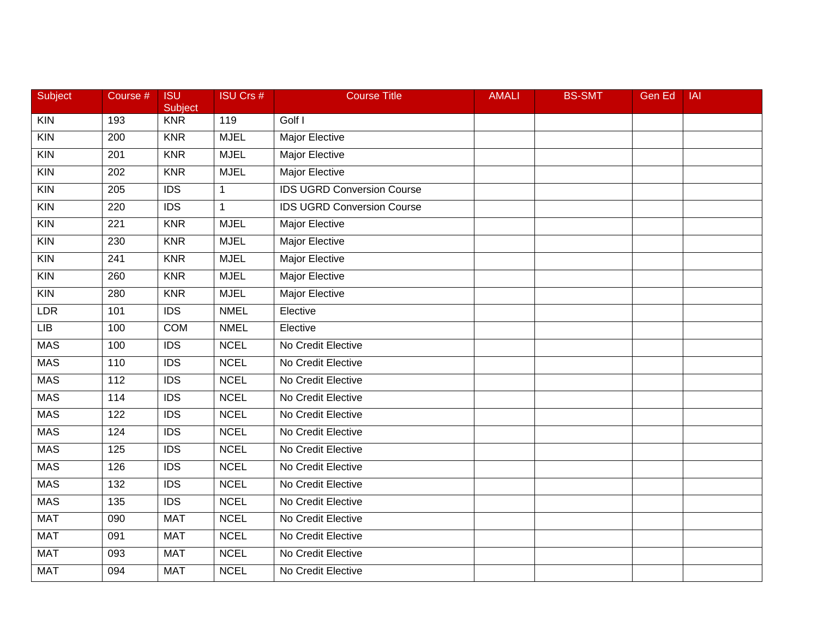| Subject        | Course #         | <b>ISU</b><br>Subject | <b>ISU Crs #</b> | <b>Course Title</b>               | <b>AMALI</b> | <b>BS-SMT</b> | <b>Gen Ed</b> | <b>IAI</b> |
|----------------|------------------|-----------------------|------------------|-----------------------------------|--------------|---------------|---------------|------------|
| <b>KIN</b>     | 193              | <b>KNR</b>            | 119              | Golf I                            |              |               |               |            |
| $\overline{K}$ | 200              | <b>KNR</b>            | <b>MJEL</b>      | <b>Major Elective</b>             |              |               |               |            |
| $\overline{K}$ | 201              | <b>KNR</b>            | <b>MJEL</b>      | Major Elective                    |              |               |               |            |
| $\overline{K}$ | 202              | <b>KNR</b>            | <b>MJEL</b>      | Major Elective                    |              |               |               |            |
| <b>KIN</b>     | 205              | <b>IDS</b>            | $\mathbf 1$      | <b>IDS UGRD Conversion Course</b> |              |               |               |            |
| <b>KIN</b>     | 220              | <b>IDS</b>            | $\mathbf{1}$     | <b>IDS UGRD Conversion Course</b> |              |               |               |            |
| KIN            | 221              | <b>KNR</b>            | <b>MJEL</b>      | <b>Major Elective</b>             |              |               |               |            |
| $\overline{K}$ | 230              | <b>KNR</b>            | <b>MJEL</b>      | <b>Major Elective</b>             |              |               |               |            |
| $\overline{K}$ | 241              | <b>KNR</b>            | <b>MJEL</b>      | Major Elective                    |              |               |               |            |
| $\overline{K}$ | 260              | <b>KNR</b>            | <b>MJEL</b>      | <b>Major Elective</b>             |              |               |               |            |
| <b>KIN</b>     | 280              | <b>KNR</b>            | <b>MJEL</b>      | Major Elective                    |              |               |               |            |
| <b>LDR</b>     | 101              | $\overline{IDS}$      | <b>NMEL</b>      | Elective                          |              |               |               |            |
| LIB            | 100              | <b>COM</b>            | <b>NMEL</b>      | Elective                          |              |               |               |            |
| <b>MAS</b>     | 100              | <b>IDS</b>            | <b>NCEL</b>      | No Credit Elective                |              |               |               |            |
| <b>MAS</b>     | 110              | <b>IDS</b>            | <b>NCEL</b>      | No Credit Elective                |              |               |               |            |
| <b>MAS</b>     | 112              | <b>IDS</b>            | <b>NCEL</b>      | No Credit Elective                |              |               |               |            |
| <b>MAS</b>     | 114              | $\overline{IDS}$      | <b>NCEL</b>      | No Credit Elective                |              |               |               |            |
| <b>MAS</b>     | 122              | $\overline{IDS}$      | <b>NCEL</b>      | No Credit Elective                |              |               |               |            |
| <b>MAS</b>     | 124              | <b>IDS</b>            | <b>NCEL</b>      | No Credit Elective                |              |               |               |            |
| <b>MAS</b>     | 125              | <b>IDS</b>            | <b>NCEL</b>      | No Credit Elective                |              |               |               |            |
| MAS            | 126              | $\overline{IDS}$      | <b>NCEL</b>      | No Credit Elective                |              |               |               |            |
| <b>MAS</b>     | 132              | $\overline{IDS}$      | <b>NCEL</b>      | No Credit Elective                |              |               |               |            |
| <b>MAS</b>     | $\overline{135}$ | $\overline{IDS}$      | <b>NCEL</b>      | No Credit Elective                |              |               |               |            |
| <b>MAT</b>     | 090              | <b>MAT</b>            | <b>NCEL</b>      | No Credit Elective                |              |               |               |            |
| <b>MAT</b>     | 091              | <b>MAT</b>            | <b>NCEL</b>      | No Credit Elective                |              |               |               |            |
| <b>MAT</b>     | 093              | <b>MAT</b>            | <b>NCEL</b>      | No Credit Elective                |              |               |               |            |
| <b>MAT</b>     | 094              | <b>MAT</b>            | <b>NCEL</b>      | No Credit Elective                |              |               |               |            |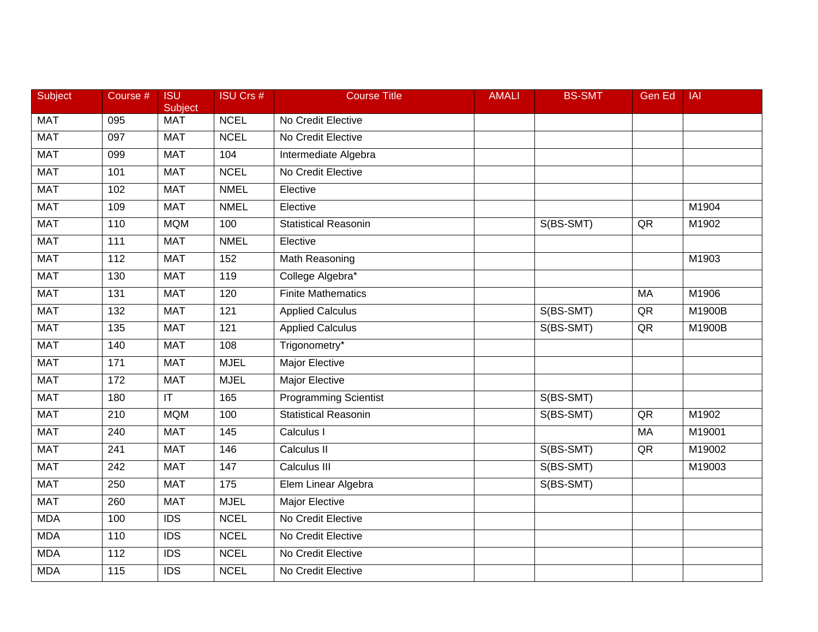| <b>Subject</b> | Course #         | <b>ISU</b><br>Subject             | <b>ISU Crs #</b> | <b>Course Title</b>         | <b>AMALI</b> | <b>BS-SMT</b> | Gen Ed    | <b>IAI</b> |
|----------------|------------------|-----------------------------------|------------------|-----------------------------|--------------|---------------|-----------|------------|
| <b>MAT</b>     | 095              | <b>MAT</b>                        | <b>NCEL</b>      | No Credit Elective          |              |               |           |            |
| <b>MAT</b>     | 097              | <b>MAT</b>                        | <b>NCEL</b>      | No Credit Elective          |              |               |           |            |
| <b>MAT</b>     | 099              | <b>MAT</b>                        | 104              | Intermediate Algebra        |              |               |           |            |
| <b>MAT</b>     | 101              | <b>MAT</b>                        | <b>NCEL</b>      | No Credit Elective          |              |               |           |            |
| <b>MAT</b>     | 102              | <b>MAT</b>                        | <b>NMEL</b>      | Elective                    |              |               |           |            |
| <b>MAT</b>     | 109              | <b>MAT</b>                        | <b>NMEL</b>      | Elective                    |              |               |           | M1904      |
| <b>MAT</b>     | 110              | <b>MQM</b>                        | 100              | <b>Statistical Reasonin</b> |              | S(BS-SMT)     | QR        | M1902      |
| <b>MAT</b>     | 111              | <b>MAT</b>                        | <b>NMEL</b>      | Elective                    |              |               |           |            |
| <b>MAT</b>     | 112              | <b>MAT</b>                        | 152              | <b>Math Reasoning</b>       |              |               |           | M1903      |
| <b>MAT</b>     | 130              | <b>MAT</b>                        | 119              | College Algebra*            |              |               |           |            |
| <b>MAT</b>     | 131              | <b>MAT</b>                        | 120              | <b>Finite Mathematics</b>   |              |               | <b>MA</b> | M1906      |
| <b>MAT</b>     | 132              | <b>MAT</b>                        | 121              | <b>Applied Calculus</b>     |              | S(BS-SMT)     | QR        | M1900B     |
| <b>MAT</b>     | $\overline{135}$ | <b>MAT</b>                        | 121              | <b>Applied Calculus</b>     |              | S(BS-SMT)     | QR        | M1900B     |
| <b>MAT</b>     | 140              | <b>MAT</b>                        | 108              | Trigonometry*               |              |               |           |            |
| <b>MAT</b>     | 171              | <b>MAT</b>                        | <b>MJEL</b>      | <b>Major Elective</b>       |              |               |           |            |
| <b>MAT</b>     | 172              | <b>MAT</b>                        | <b>MJEL</b>      | <b>Major Elective</b>       |              |               |           |            |
| <b>MAT</b>     | 180              | $\overline{\mathsf{I}\mathsf{T}}$ | 165              | Programming Scientist       |              | S(BS-SMT)     |           |            |
| <b>MAT</b>     | 210              | <b>MQM</b>                        | 100              | <b>Statistical Reasonin</b> |              | S(BS-SMT)     | QR        | M1902      |
| <b>MAT</b>     | 240              | <b>MAT</b>                        | 145              | Calculus I                  |              |               | MA        | M19001     |
| <b>MAT</b>     | 241              | <b>MAT</b>                        | 146              | Calculus II                 |              | S(BS-SMT)     | QR        | M19002     |
| <b>MAT</b>     | $\overline{242}$ | <b>MAT</b>                        | 147              | Calculus III                |              | S(BS-SMT)     |           | M19003     |
| <b>MAT</b>     | 250              | <b>MAT</b>                        | 175              | Elem Linear Algebra         |              | S(BS-SMT)     |           |            |
| <b>MAT</b>     | 260              | <b>MAT</b>                        | <b>MJEL</b>      | <b>Major Elective</b>       |              |               |           |            |
| <b>MDA</b>     | 100              | <b>IDS</b>                        | <b>NCEL</b>      | No Credit Elective          |              |               |           |            |
| <b>MDA</b>     | 110              | <b>IDS</b>                        | <b>NCEL</b>      | No Credit Elective          |              |               |           |            |
| <b>MDA</b>     | 112              | <b>IDS</b>                        | <b>NCEL</b>      | No Credit Elective          |              |               |           |            |
| <b>MDA</b>     | $\overline{115}$ | $\overline{IDS}$                  | <b>NCEL</b>      | No Credit Elective          |              |               |           |            |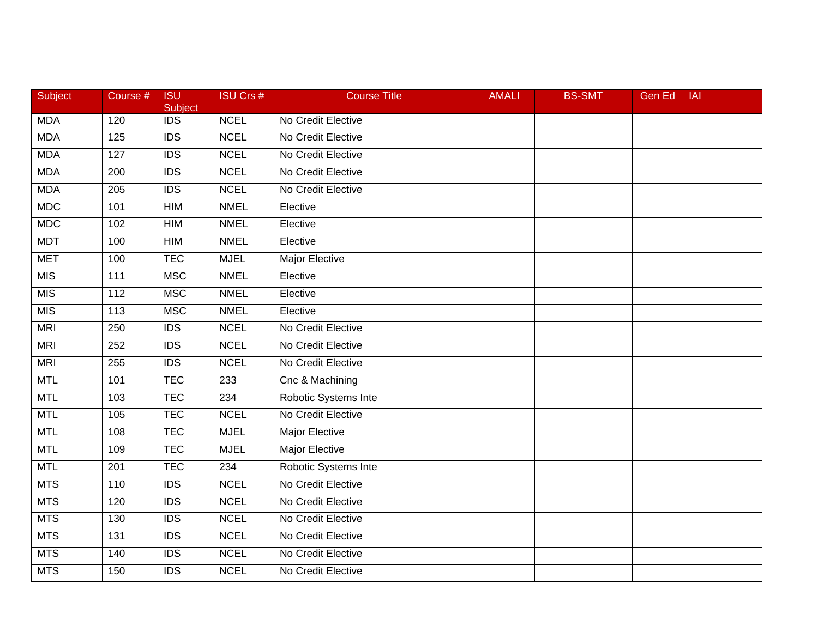| <b>Subject</b> | Course # | <b>ISU</b><br>Subject | <b>ISU Crs #</b> | <b>Course Title</b>   | <b>AMALI</b> | <b>BS-SMT</b> | <b>Gen Ed</b> | <b>IAI</b> |
|----------------|----------|-----------------------|------------------|-----------------------|--------------|---------------|---------------|------------|
| <b>MDA</b>     | 120      | <b>IDS</b>            | <b>NCEL</b>      | No Credit Elective    |              |               |               |            |
| <b>MDA</b>     | 125      | $\overline{IDS}$      | <b>NCEL</b>      | No Credit Elective    |              |               |               |            |
| <b>MDA</b>     | 127      | <b>IDS</b>            | <b>NCEL</b>      | No Credit Elective    |              |               |               |            |
| <b>MDA</b>     | 200      | $\overline{IDS}$      | <b>NCEL</b>      | No Credit Elective    |              |               |               |            |
| <b>MDA</b>     | 205      | <b>IDS</b>            | <b>NCEL</b>      | No Credit Elective    |              |               |               |            |
| <b>MDC</b>     | 101      | HIM                   | <b>NMEL</b>      | Elective              |              |               |               |            |
| <b>MDC</b>     | 102      | <b>HIM</b>            | <b>NMEL</b>      | Elective              |              |               |               |            |
| <b>MDT</b>     | 100      | <b>HIM</b>            | <b>NMEL</b>      | Elective              |              |               |               |            |
| <b>MET</b>     | 100      | <b>TEC</b>            | <b>MJEL</b>      | <b>Major Elective</b> |              |               |               |            |
| MIS            | 111      | <b>MSC</b>            | <b>NMEL</b>      | Elective              |              |               |               |            |
| <b>MIS</b>     | 112      | <b>MSC</b>            | <b>NMEL</b>      | Elective              |              |               |               |            |
| <b>MIS</b>     | 113      | <b>MSC</b>            | <b>NMEL</b>      | Elective              |              |               |               |            |
| <b>MRI</b>     | 250      | $\overline{IDS}$      | <b>NCEL</b>      | No Credit Elective    |              |               |               |            |
| <b>MRI</b>     | 252      | <b>IDS</b>            | <b>NCEL</b>      | No Credit Elective    |              |               |               |            |
| <b>MRI</b>     | 255      | $\overline{IDS}$      | <b>NCEL</b>      | No Credit Elective    |              |               |               |            |
| <b>MTL</b>     | 101      | <b>TEC</b>            | 233              | Cnc & Machining       |              |               |               |            |
| <b>MTL</b>     | 103      | <b>TEC</b>            | 234              | Robotic Systems Inte  |              |               |               |            |
| <b>MTL</b>     | 105      | <b>TEC</b>            | <b>NCEL</b>      | No Credit Elective    |              |               |               |            |
| <b>MTL</b>     | 108      | <b>TEC</b>            | <b>MJEL</b>      | Major Elective        |              |               |               |            |
| <b>MTL</b>     | 109      | <b>TEC</b>            | <b>MJEL</b>      | Major Elective        |              |               |               |            |
| <b>MTL</b>     | 201      | <b>TEC</b>            | 234              | Robotic Systems Inte  |              |               |               |            |
| <b>MTS</b>     | 110      | IDS                   | <b>NCEL</b>      | No Credit Elective    |              |               |               |            |
| <b>MTS</b>     | 120      | $\overline{IDS}$      | <b>NCEL</b>      | No Credit Elective    |              |               |               |            |
| <b>MTS</b>     | 130      | $\overline{IDS}$      | <b>NCEL</b>      | No Credit Elective    |              |               |               |            |
| <b>MTS</b>     | 131      | <b>IDS</b>            | <b>NCEL</b>      | No Credit Elective    |              |               |               |            |
| <b>MTS</b>     | 140      | <b>IDS</b>            | <b>NCEL</b>      | No Credit Elective    |              |               |               |            |
| <b>MTS</b>     | 150      | $\overline{IDS}$      | <b>NCEL</b>      | No Credit Elective    |              |               |               |            |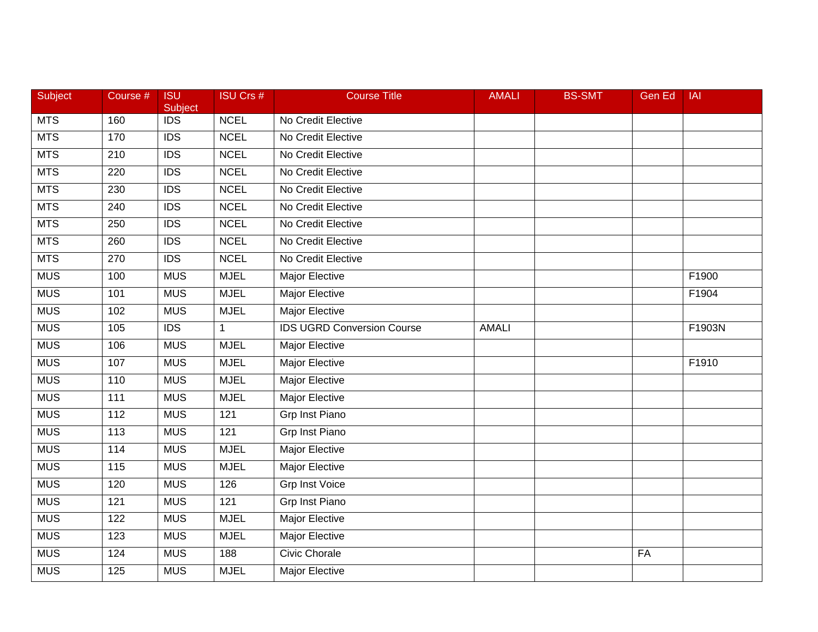| Subject    | Course # | <b>ISU</b><br>Subject | <b>ISU Crs #</b> | <b>Course Title</b>               | <b>AMALI</b> | <b>BS-SMT</b> | Gen Ed | <b>IAI</b> |
|------------|----------|-----------------------|------------------|-----------------------------------|--------------|---------------|--------|------------|
| <b>MTS</b> | 160      | <b>IDS</b>            | <b>NCEL</b>      | No Credit Elective                |              |               |        |            |
| <b>MTS</b> | 170      | $\overline{IDS}$      | <b>NCEL</b>      | No Credit Elective                |              |               |        |            |
| <b>MTS</b> | 210      | <b>IDS</b>            | <b>NCEL</b>      | No Credit Elective                |              |               |        |            |
| <b>MTS</b> | 220      | <b>IDS</b>            | <b>NCEL</b>      | No Credit Elective                |              |               |        |            |
| <b>MTS</b> | 230      | <b>IDS</b>            | <b>NCEL</b>      | No Credit Elective                |              |               |        |            |
| <b>MTS</b> | 240      | <b>IDS</b>            | <b>NCEL</b>      | No Credit Elective                |              |               |        |            |
| <b>MTS</b> | 250      | $\overline{IDS}$      | <b>NCEL</b>      | No Credit Elective                |              |               |        |            |
| <b>MTS</b> | 260      | <b>IDS</b>            | <b>NCEL</b>      | No Credit Elective                |              |               |        |            |
| <b>MTS</b> | 270      | <b>IDS</b>            | <b>NCEL</b>      | No Credit Elective                |              |               |        |            |
| <b>MUS</b> | 100      | <b>MUS</b>            | <b>MJEL</b>      | <b>Major Elective</b>             |              |               |        | F1900      |
| <b>MUS</b> | 101      | <b>MUS</b>            | <b>MJEL</b>      | Major Elective                    |              |               |        | F1904      |
| <b>MUS</b> | 102      | <b>MUS</b>            | <b>MJEL</b>      | <b>Major Elective</b>             |              |               |        |            |
| <b>MUS</b> | 105      | $\overline{IDS}$      | $\mathbf{1}$     | <b>IDS UGRD Conversion Course</b> | <b>AMALI</b> |               |        | F1903N     |
| <b>MUS</b> | 106      | <b>MUS</b>            | <b>MJEL</b>      | Major Elective                    |              |               |        |            |
| <b>MUS</b> | 107      | <b>MUS</b>            | <b>MJEL</b>      | Major Elective                    |              |               |        | F1910      |
| <b>MUS</b> | 110      | <b>MUS</b>            | <b>MJEL</b>      | Major Elective                    |              |               |        |            |
| <b>MUS</b> | 111      | <b>MUS</b>            | <b>MJEL</b>      | <b>Major Elective</b>             |              |               |        |            |
| <b>MUS</b> | 112      | <b>MUS</b>            | 121              | <b>Grp Inst Piano</b>             |              |               |        |            |
| <b>MUS</b> | 113      | <b>MUS</b>            | 121              | Grp Inst Piano                    |              |               |        |            |
| <b>MUS</b> | 114      | <b>MUS</b>            | <b>MJEL</b>      | <b>Major Elective</b>             |              |               |        |            |
| <b>MUS</b> | 115      | <b>MUS</b>            | <b>MJEL</b>      | <b>Major Elective</b>             |              |               |        |            |
| <b>MUS</b> | 120      | <b>MUS</b>            | 126              | <b>Grp Inst Voice</b>             |              |               |        |            |
| <b>MUS</b> | 121      | <b>MUS</b>            | $\overline{121}$ | <b>Grp Inst Piano</b>             |              |               |        |            |
| <b>MUS</b> | 122      | <b>MUS</b>            | <b>MJEL</b>      | <b>Major Elective</b>             |              |               |        |            |
| <b>MUS</b> | 123      | <b>MUS</b>            | <b>MJEL</b>      | Major Elective                    |              |               |        |            |
| <b>MUS</b> | 124      | <b>MUS</b>            | 188              | Civic Chorale                     |              |               | FA     |            |
| <b>MUS</b> | 125      | <b>MUS</b>            | <b>MJEL</b>      | <b>Major Elective</b>             |              |               |        |            |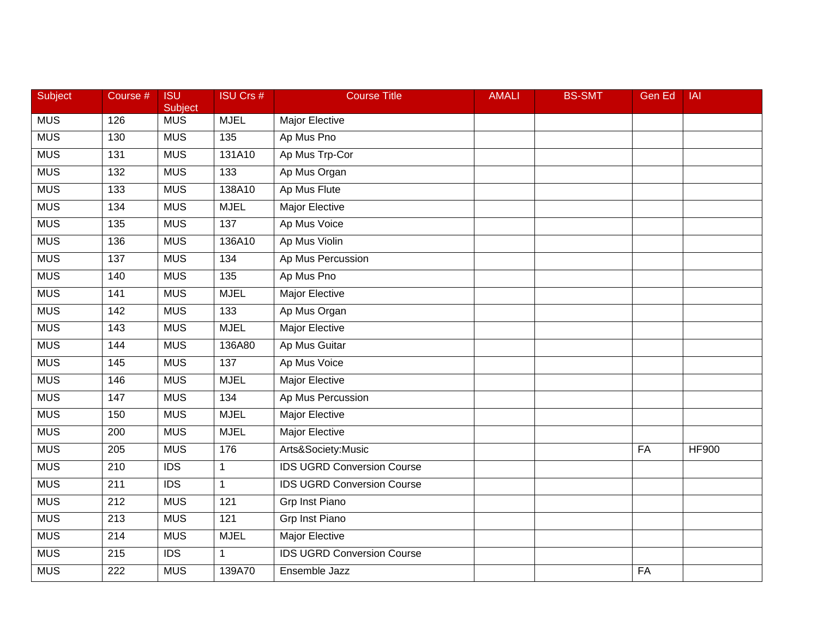| Subject    | Course #         | <b>ISU</b><br>Subject | <b>ISU Crs #</b> | <b>Course Title</b>               | <b>AMALI</b> | <b>BS-SMT</b> | Gen Ed    | <b>IAI</b>   |
|------------|------------------|-----------------------|------------------|-----------------------------------|--------------|---------------|-----------|--------------|
| <b>MUS</b> | 126              | <b>MUS</b>            | <b>MJEL</b>      | Major Elective                    |              |               |           |              |
| <b>MUS</b> | 130              | <b>MUS</b>            | 135              | Ap Mus Pno                        |              |               |           |              |
| <b>MUS</b> | 131              | <b>MUS</b>            | 131A10           | Ap Mus Trp-Cor                    |              |               |           |              |
| <b>MUS</b> | 132              | <b>MUS</b>            | 133              | Ap Mus Organ                      |              |               |           |              |
| <b>MUS</b> | 133              | <b>MUS</b>            | 138A10           | Ap Mus Flute                      |              |               |           |              |
| <b>MUS</b> | 134              | <b>MUS</b>            | <b>MJEL</b>      | Major Elective                    |              |               |           |              |
| <b>MUS</b> | 135              | <b>MUS</b>            | 137              | Ap Mus Voice                      |              |               |           |              |
| <b>MUS</b> | 136              | <b>MUS</b>            | 136A10           | Ap Mus Violin                     |              |               |           |              |
| <b>MUS</b> | 137              | <b>MUS</b>            | 134              | Ap Mus Percussion                 |              |               |           |              |
| <b>MUS</b> | 140              | <b>MUS</b>            | 135              | Ap Mus Pno                        |              |               |           |              |
| <b>MUS</b> | 141              | <b>MUS</b>            | <b>MJEL</b>      | Major Elective                    |              |               |           |              |
| <b>MUS</b> | 142              | <b>MUS</b>            | 133              | Ap Mus Organ                      |              |               |           |              |
| <b>MUS</b> | $\frac{143}{ }$  | <b>MUS</b>            | <b>MJEL</b>      | <b>Major Elective</b>             |              |               |           |              |
| <b>MUS</b> | 144              | <b>MUS</b>            | 136A80           | Ap Mus Guitar                     |              |               |           |              |
| <b>MUS</b> | 145              | <b>MUS</b>            | 137              | Ap Mus Voice                      |              |               |           |              |
| <b>MUS</b> | 146              | <b>MUS</b>            | <b>MJEL</b>      | Major Elective                    |              |               |           |              |
| <b>MUS</b> | 147              | <b>MUS</b>            | 134              | Ap Mus Percussion                 |              |               |           |              |
| <b>MUS</b> | 150              | <b>MUS</b>            | <b>MJEL</b>      | <b>Major Elective</b>             |              |               |           |              |
| <b>MUS</b> | 200              | <b>MUS</b>            | <b>MJEL</b>      | Major Elective                    |              |               |           |              |
| <b>MUS</b> | 205              | <b>MUS</b>            | 176              | Arts&Society:Music                |              |               | FA        | <b>HF900</b> |
| <b>MUS</b> | 210              | $\overline{IDS}$      | $\mathbf{1}$     | <b>IDS UGRD Conversion Course</b> |              |               |           |              |
| <b>MUS</b> | 211              | <b>IDS</b>            | $\mathbf{1}$     | <b>IDS UGRD Conversion Course</b> |              |               |           |              |
| <b>MUS</b> | $\overline{212}$ | <b>MUS</b>            | 121              | <b>Grp Inst Piano</b>             |              |               |           |              |
| <b>MUS</b> | 213              | <b>MUS</b>            | 121              | <b>Grp Inst Piano</b>             |              |               |           |              |
| <b>MUS</b> | 214              | <b>MUS</b>            | <b>MJEL</b>      | Major Elective                    |              |               |           |              |
| <b>MUS</b> | 215              | <b>IDS</b>            | $\mathbf{1}$     | <b>IDS UGRD Conversion Course</b> |              |               |           |              |
| <b>MUS</b> | $\overline{222}$ | <b>MUS</b>            | 139A70           | Ensemble Jazz                     |              |               | <b>FA</b> |              |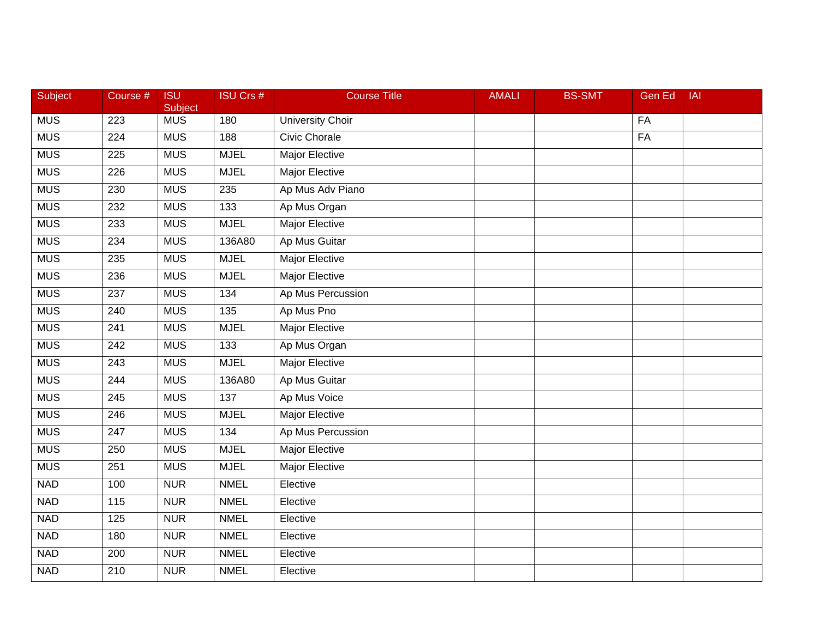| Subject    | Course #         | <b>ISU</b><br>Subject | <b>ISU Crs #</b> | <b>Course Title</b>     | <b>AMALI</b> | <b>BS-SMT</b> | <b>Gen Ed</b> | <b>IAI</b> |
|------------|------------------|-----------------------|------------------|-------------------------|--------------|---------------|---------------|------------|
| <b>MUS</b> | 223              | <b>MUS</b>            | 180              | <b>University Choir</b> |              |               | FA            |            |
| <b>MUS</b> | 224              | <b>MUS</b>            | 188              | <b>Civic Chorale</b>    |              |               | FA            |            |
| <b>MUS</b> | 225              | <b>MUS</b>            | <b>MJEL</b>      | <b>Major Elective</b>   |              |               |               |            |
| <b>MUS</b> | 226              | <b>MUS</b>            | <b>MJEL</b>      | <b>Major Elective</b>   |              |               |               |            |
| <b>MUS</b> | 230              | <b>MUS</b>            | 235              | Ap Mus Adv Piano        |              |               |               |            |
| <b>MUS</b> | 232              | <b>MUS</b>            | 133              | Ap Mus Organ            |              |               |               |            |
| <b>MUS</b> | 233              | <b>MUS</b>            | <b>MJEL</b>      | <b>Major Elective</b>   |              |               |               |            |
| <b>MUS</b> | 234              | <b>MUS</b>            | 136A80           | Ap Mus Guitar           |              |               |               |            |
| <b>MUS</b> | 235              | <b>MUS</b>            | <b>MJEL</b>      | <b>Major Elective</b>   |              |               |               |            |
| <b>MUS</b> | 236              | <b>MUS</b>            | <b>MJEL</b>      | <b>Major Elective</b>   |              |               |               |            |
| <b>MUS</b> | 237              | <b>MUS</b>            | 134              | Ap Mus Percussion       |              |               |               |            |
| <b>MUS</b> | 240              | <b>MUS</b>            | 135              | Ap Mus Pno              |              |               |               |            |
| <b>MUS</b> | $\overline{241}$ | <b>MUS</b>            | <b>MJEL</b>      | <b>Major Elective</b>   |              |               |               |            |
| <b>MUS</b> | 242              | <b>MUS</b>            | 133              | Ap Mus Organ            |              |               |               |            |
| <b>MUS</b> | 243              | <b>MUS</b>            | <b>MJEL</b>      | <b>Major Elective</b>   |              |               |               |            |
| <b>MUS</b> | 244              | <b>MUS</b>            | 136A80           | Ap Mus Guitar           |              |               |               |            |
| <b>MUS</b> | 245              | <b>MUS</b>            | 137              | Ap Mus Voice            |              |               |               |            |
| <b>MUS</b> | 246              | <b>MUS</b>            | <b>MJEL</b>      | <b>Major Elective</b>   |              |               |               |            |
| <b>MUS</b> | 247              | <b>MUS</b>            | 134              | Ap Mus Percussion       |              |               |               |            |
| <b>MUS</b> | 250              | <b>MUS</b>            | <b>MJEL</b>      | <b>Major Elective</b>   |              |               |               |            |
| <b>MUS</b> | 251              | <b>MUS</b>            | <b>MJEL</b>      | <b>Major Elective</b>   |              |               |               |            |
| <b>NAD</b> | 100              | <b>NUR</b>            | <b>NMEL</b>      | Elective                |              |               |               |            |
| <b>NAD</b> | 115              | <b>NUR</b>            | <b>NMEL</b>      | Elective                |              |               |               |            |
| <b>NAD</b> | $\frac{125}{2}$  | <b>NUR</b>            | <b>NMEL</b>      | Elective                |              |               |               |            |
| <b>NAD</b> | 180              | <b>NUR</b>            | <b>NMEL</b>      | Elective                |              |               |               |            |
| <b>NAD</b> | 200              | <b>NUR</b>            | <b>NMEL</b>      | Elective                |              |               |               |            |
| <b>NAD</b> | 210              | <b>NUR</b>            | <b>NMEL</b>      | Elective                |              |               |               |            |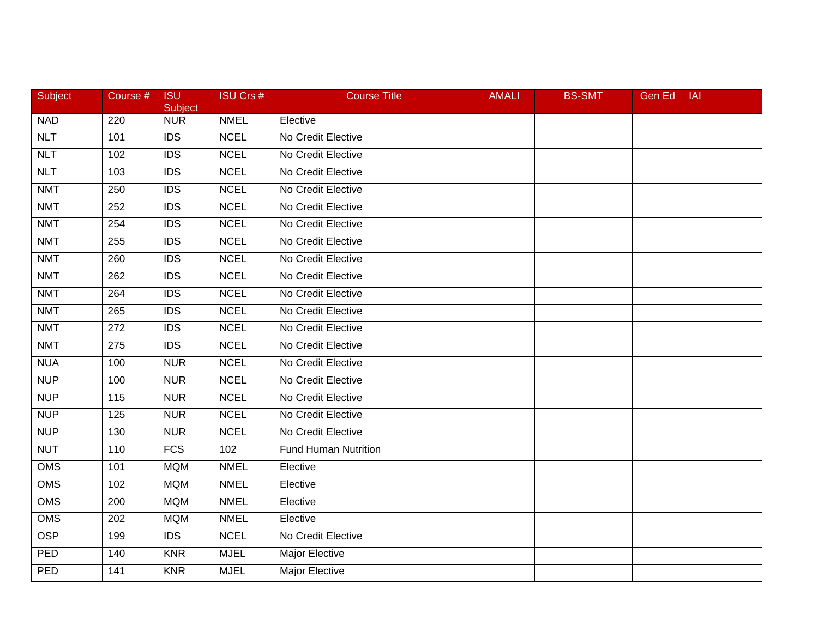| Subject    | Course #         | <b>ISU</b><br>Subject | <b>ISU Crs #</b> | <b>Course Title</b>         | <b>AMALI</b> | <b>BS-SMT</b> | Gen Ed | <b>IAI</b> |
|------------|------------------|-----------------------|------------------|-----------------------------|--------------|---------------|--------|------------|
| <b>NAD</b> | 220              | <b>NUR</b>            | <b>NMEL</b>      | Elective                    |              |               |        |            |
| NLT        | 101              | <b>IDS</b>            | <b>NCEL</b>      | No Credit Elective          |              |               |        |            |
| <b>NLT</b> | 102              | <b>IDS</b>            | <b>NCEL</b>      | No Credit Elective          |              |               |        |            |
| NLT        | 103              | <b>IDS</b>            | <b>NCEL</b>      | No Credit Elective          |              |               |        |            |
| <b>NMT</b> | 250              | <b>IDS</b>            | <b>NCEL</b>      | No Credit Elective          |              |               |        |            |
| <b>NMT</b> | 252              | <b>IDS</b>            | <b>NCEL</b>      | No Credit Elective          |              |               |        |            |
| <b>NMT</b> | 254              | $\overline{IDS}$      | <b>NCEL</b>      | No Credit Elective          |              |               |        |            |
| <b>NMT</b> | 255              | IDS                   | <b>NCEL</b>      | No Credit Elective          |              |               |        |            |
| <b>NMT</b> | 260              | <b>IDS</b>            | <b>NCEL</b>      | No Credit Elective          |              |               |        |            |
| <b>NMT</b> | 262              | <b>IDS</b>            | <b>NCEL</b>      | No Credit Elective          |              |               |        |            |
| <b>NMT</b> | 264              | <b>IDS</b>            | <b>NCEL</b>      | No Credit Elective          |              |               |        |            |
| <b>NMT</b> | 265              | $\overline{IDS}$      | <b>NCEL</b>      | No Credit Elective          |              |               |        |            |
| <b>NMT</b> | $\overline{272}$ | $\overline{IDS}$      | <b>NCEL</b>      | No Credit Elective          |              |               |        |            |
| <b>NMT</b> | 275              | <b>IDS</b>            | <b>NCEL</b>      | No Credit Elective          |              |               |        |            |
| <b>NUA</b> | 100              | <b>NUR</b>            | <b>NCEL</b>      | No Credit Elective          |              |               |        |            |
| <b>NUP</b> | 100              | <b>NUR</b>            | <b>NCEL</b>      | No Credit Elective          |              |               |        |            |
| <b>NUP</b> | 115              | <b>NUR</b>            | <b>NCEL</b>      | No Credit Elective          |              |               |        |            |
| <b>NUP</b> | 125              | <b>NUR</b>            | <b>NCEL</b>      | No Credit Elective          |              |               |        |            |
| <b>NUP</b> | 130              | <b>NUR</b>            | <b>NCEL</b>      | No Credit Elective          |              |               |        |            |
| <b>NUT</b> | 110              | <b>FCS</b>            | 102              | <b>Fund Human Nutrition</b> |              |               |        |            |
| OMS        | 101              | <b>MQM</b>            | <b>NMEL</b>      | Elective                    |              |               |        |            |
| <b>OMS</b> | 102              | <b>MQM</b>            | <b>NMEL</b>      | Elective                    |              |               |        |            |
| <b>OMS</b> | 200              | <b>MQM</b>            | <b>NMEL</b>      | Elective                    |              |               |        |            |
| OMS        | 202              | <b>MQM</b>            | <b>NMEL</b>      | Elective                    |              |               |        |            |
| <b>OSP</b> | 199              | <b>IDS</b>            | <b>NCEL</b>      | No Credit Elective          |              |               |        |            |
| PED        | 140              | <b>KNR</b>            | <b>MJEL</b>      | Major Elective              |              |               |        |            |
| PED        | 141              | <b>KNR</b>            | <b>MJEL</b>      | Major Elective              |              |               |        |            |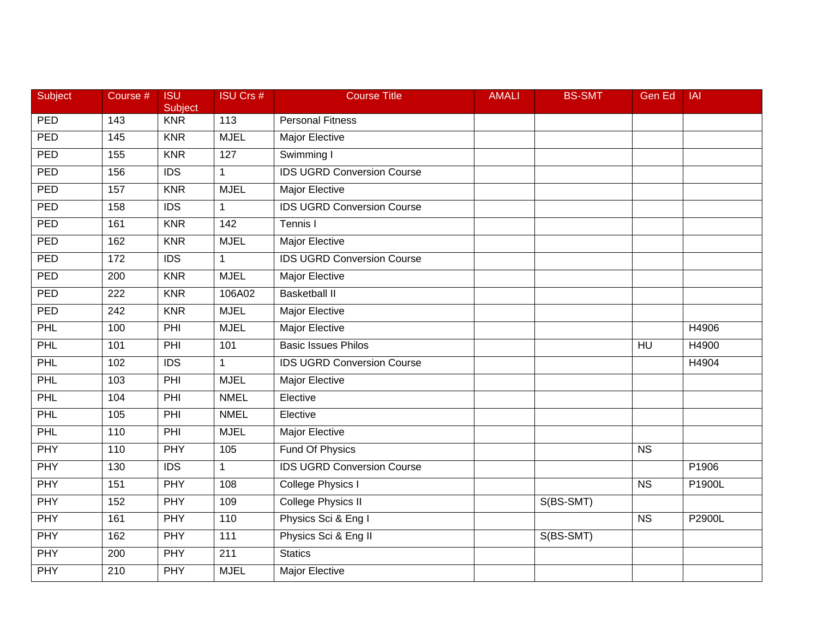| Subject    | Course #         | <b>ISU</b><br>Subject | <b>ISU Crs #</b> | <b>Course Title</b>               | <b>AMALI</b> | <b>BS-SMT</b> | Gen Ed                 | <b>IAI</b> |
|------------|------------------|-----------------------|------------------|-----------------------------------|--------------|---------------|------------------------|------------|
| <b>PED</b> | 143              | <b>KNR</b>            | 113              | <b>Personal Fitness</b>           |              |               |                        |            |
| PED        | 145              | <b>KNR</b>            | <b>MJEL</b>      | Major Elective                    |              |               |                        |            |
| PED        | 155              | <b>KNR</b>            | 127              | Swimming I                        |              |               |                        |            |
| PED        | 156              | $\overline{IDS}$      | $\mathbf{1}$     | <b>IDS UGRD Conversion Course</b> |              |               |                        |            |
| <b>PED</b> | 157              | <b>KNR</b>            | <b>MJEL</b>      | Major Elective                    |              |               |                        |            |
| PED        | 158              | <b>IDS</b>            | $\mathbf 1$      | <b>IDS UGRD Conversion Course</b> |              |               |                        |            |
| PED        | 161              | <b>KNR</b>            | 142              | Tennis I                          |              |               |                        |            |
| PED        | 162              | <b>KNR</b>            | <b>MJEL</b>      | Major Elective                    |              |               |                        |            |
| PED        | 172              | $\overline{IDS}$      | $\mathbf{1}$     | <b>IDS UGRD Conversion Course</b> |              |               |                        |            |
| <b>PED</b> | 200              | <b>KNR</b>            | <b>MJEL</b>      | Major Elective                    |              |               |                        |            |
| PED        | 222              | <b>KNR</b>            | 106A02           | <b>Basketball II</b>              |              |               |                        |            |
| PED        | $\overline{242}$ | <b>KNR</b>            | <b>MJEL</b>      | <b>Major Elective</b>             |              |               |                        |            |
| PHL        | 100              | PHI                   | <b>MJEL</b>      | <b>Major Elective</b>             |              |               |                        | H4906      |
| PHL        | 101              | PHI                   | 101              | <b>Basic Issues Philos</b>        |              |               | HU                     | H4900      |
| PHL        | 102              | <b>IDS</b>            | $\mathbf{1}$     | <b>IDS UGRD Conversion Course</b> |              |               |                        | H4904      |
| <b>PHL</b> | 103              | PHI                   | <b>MJEL</b>      | <b>Major Elective</b>             |              |               |                        |            |
| PHL        | 104              | PHI                   | <b>NMEL</b>      | Elective                          |              |               |                        |            |
| PHL        | 105              | PHI                   | <b>NMEL</b>      | Elective                          |              |               |                        |            |
| PHL        | 110              | PHI                   | <b>MJEL</b>      | Major Elective                    |              |               |                        |            |
| <b>PHY</b> | 110              | PHY                   | 105              | <b>Fund Of Physics</b>            |              |               | $\overline{\text{NS}}$ |            |
| <b>PHY</b> | 130              | <b>IDS</b>            | $\mathbf{1}$     | <b>IDS UGRD Conversion Course</b> |              |               |                        | P1906      |
| <b>PHY</b> | 151              | <b>PHY</b>            | 108              | <b>College Physics I</b>          |              |               | <b>NS</b>              | P1900L     |
| <b>PHY</b> | 152              | <b>PHY</b>            | 109              | <b>College Physics II</b>         |              | S(BS-SMT)     |                        |            |
| <b>PHY</b> | 161              | PHY                   | 110              | Physics Sci & Eng I               |              |               | <b>NS</b>              | P2900L     |
| <b>PHY</b> | 162              | PHY                   | 111              | Physics Sci & Eng II              |              | S(BS-SMT)     |                        |            |
| <b>PHY</b> | 200              | PHY                   | 211              | <b>Statics</b>                    |              |               |                        |            |
| <b>PHY</b> | $\overline{210}$ | PHY                   | <b>MJEL</b>      | Major Elective                    |              |               |                        |            |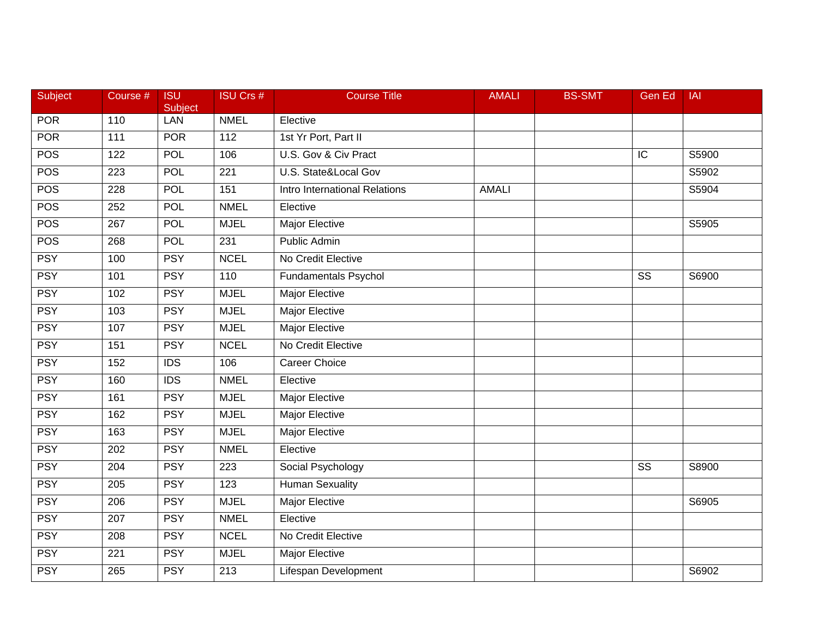| Subject    | Course #         | <b>ISU</b><br>Subject | <b>ISU Crs #</b> | <b>Course Title</b>             | <b>AMALI</b> | <b>BS-SMT</b> | <b>Gen Ed</b> | <b>IAI</b> |
|------------|------------------|-----------------------|------------------|---------------------------------|--------------|---------------|---------------|------------|
| <b>POR</b> | 110              | <b>LAN</b>            | <b>NMEL</b>      | Elective                        |              |               |               |            |
| <b>POR</b> | 111              | <b>POR</b>            | 112              | 1st Yr Port, Part II            |              |               |               |            |
| <b>POS</b> | 122              | <b>POL</b>            | 106              | U.S. Gov & Civ Pract            |              |               | IC            | S5900      |
| <b>POS</b> | 223              | <b>POL</b>            | $\overline{221}$ | <b>U.S. State&amp;Local Gov</b> |              |               |               | S5902      |
| <b>POS</b> | 228              | POL                   | 151              | Intro International Relations   | <b>AMALI</b> |               |               | S5904      |
| <b>POS</b> | 252              | <b>POL</b>            | <b>NMEL</b>      | Elective                        |              |               |               |            |
| <b>POS</b> | 267              | <b>POL</b>            | <b>MJEL</b>      | <b>Major Elective</b>           |              |               |               | S5905      |
| <b>POS</b> | 268              | <b>POL</b>            | 231              | Public Admin                    |              |               |               |            |
| <b>PSY</b> | 100              | <b>PSY</b>            | <b>NCEL</b>      | No Credit Elective              |              |               |               |            |
| <b>PSY</b> | 101              | <b>PSY</b>            | 110              | <b>Fundamentals Psychol</b>     |              |               | <b>SS</b>     | S6900      |
| <b>PSY</b> | 102              | <b>PSY</b>            | <b>MJEL</b>      | Major Elective                  |              |               |               |            |
| <b>PSY</b> | 103              | <b>PSY</b>            | <b>MJEL</b>      | <b>Major Elective</b>           |              |               |               |            |
| <b>PSY</b> | 107              | <b>PSY</b>            | <b>MJEL</b>      | <b>Major Elective</b>           |              |               |               |            |
| <b>PSY</b> | 151              | <b>PSY</b>            | <b>NCEL</b>      | No Credit Elective              |              |               |               |            |
| <b>PSY</b> | 152              | $\overline{IDS}$      | 106              | <b>Career Choice</b>            |              |               |               |            |
| <b>PSY</b> | 160              | <b>IDS</b>            | <b>NMEL</b>      | Elective                        |              |               |               |            |
| <b>PSY</b> | 161              | <b>PSY</b>            | <b>MJEL</b>      | <b>Major Elective</b>           |              |               |               |            |
| <b>PSY</b> | 162              | <b>PSY</b>            | <b>MJEL</b>      | <b>Major Elective</b>           |              |               |               |            |
| <b>PSY</b> | 163              | <b>PSY</b>            | <b>MJEL</b>      | <b>Major Elective</b>           |              |               |               |            |
| <b>PSY</b> | $\overline{202}$ | <b>PSY</b>            | <b>NMEL</b>      | Elective                        |              |               |               |            |
| <b>PSY</b> | 204              | <b>PSY</b>            | 223              | Social Psychology               |              |               | SS            | S8900      |
| <b>PSY</b> | 205              | <b>PSY</b>            | 123              | <b>Human Sexuality</b>          |              |               |               |            |
| <b>PSY</b> | $\overline{206}$ | <b>PSY</b>            | <b>MJEL</b>      | <b>Major Elective</b>           |              |               |               | S6905      |
| <b>PSY</b> | 207              | <b>PSY</b>            | <b>NMEL</b>      | Elective                        |              |               |               |            |
| <b>PSY</b> | 208              | <b>PSY</b>            | <b>NCEL</b>      | No Credit Elective              |              |               |               |            |
| <b>PSY</b> | 221              | <b>PSY</b>            | <b>MJEL</b>      | <b>Major Elective</b>           |              |               |               |            |
| <b>PSY</b> | 265              | <b>PSY</b>            | $\overline{213}$ | Lifespan Development            |              |               |               | S6902      |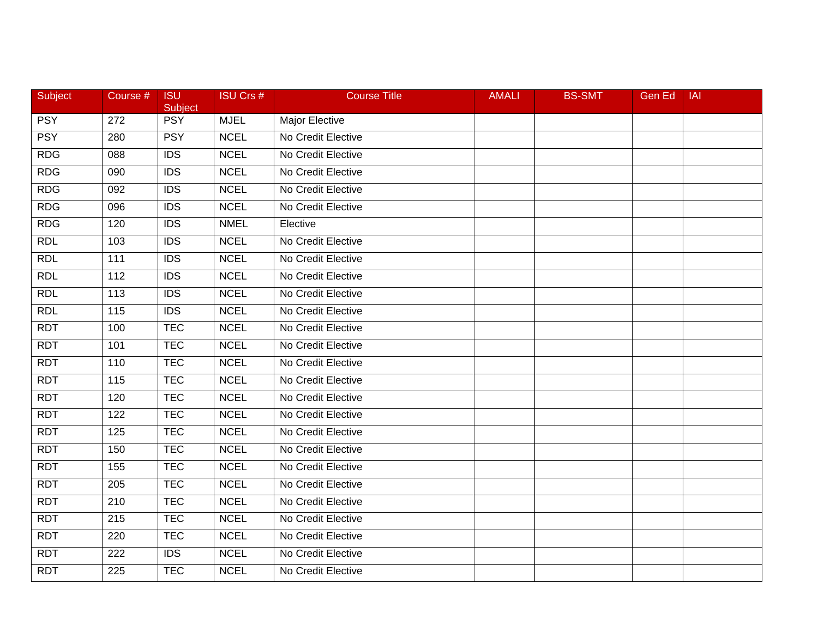| Subject    | Course #          | <b>ISU</b><br>Subject | <b>ISU Crs #</b> | <b>Course Title</b> | <b>AMALI</b> | <b>BS-SMT</b> | <b>Gen Ed</b> | <b>IAI</b> |
|------------|-------------------|-----------------------|------------------|---------------------|--------------|---------------|---------------|------------|
| <b>PSY</b> | 272               | <b>PSY</b>            | <b>MJEL</b>      | Major Elective      |              |               |               |            |
| <b>PSY</b> | 280               | <b>PSY</b>            | <b>NCEL</b>      | No Credit Elective  |              |               |               |            |
| <b>RDG</b> | 088               | <b>IDS</b>            | <b>NCEL</b>      | No Credit Elective  |              |               |               |            |
| <b>RDG</b> | 090               | $\overline{IDS}$      | <b>NCEL</b>      | No Credit Elective  |              |               |               |            |
| <b>RDG</b> | 092               | <b>IDS</b>            | <b>NCEL</b>      | No Credit Elective  |              |               |               |            |
| <b>RDG</b> | 096               | <b>IDS</b>            | <b>NCEL</b>      | No Credit Elective  |              |               |               |            |
| <b>RDG</b> | 120               | $\overline{IDS}$      | <b>NMEL</b>      | Elective            |              |               |               |            |
| <b>RDL</b> | 103               | $\overline{IDS}$      | <b>NCEL</b>      | No Credit Elective  |              |               |               |            |
| RDL        | 111               | <b>IDS</b>            | <b>NCEL</b>      | No Credit Elective  |              |               |               |            |
| <b>RDL</b> | 112               | <b>IDS</b>            | <b>NCEL</b>      | No Credit Elective  |              |               |               |            |
| <b>RDL</b> | 113               | <b>IDS</b>            | <b>NCEL</b>      | No Credit Elective  |              |               |               |            |
| <b>RDL</b> | $\frac{115}{115}$ | IDS                   | <b>NCEL</b>      | No Credit Elective  |              |               |               |            |
| <b>RDT</b> | 100               | <b>TEC</b>            | <b>NCEL</b>      | No Credit Elective  |              |               |               |            |
| <b>RDT</b> | 101               | <b>TEC</b>            | <b>NCEL</b>      | No Credit Elective  |              |               |               |            |
| <b>RDT</b> | 110               | <b>TEC</b>            | <b>NCEL</b>      | No Credit Elective  |              |               |               |            |
| <b>RDT</b> | 115               | <b>TEC</b>            | <b>NCEL</b>      | No Credit Elective  |              |               |               |            |
| <b>RDT</b> | 120               | <b>TEC</b>            | <b>NCEL</b>      | No Credit Elective  |              |               |               |            |
| <b>RDT</b> | 122               | <b>TEC</b>            | <b>NCEL</b>      | No Credit Elective  |              |               |               |            |
| <b>RDT</b> | 125               | <b>TEC</b>            | <b>NCEL</b>      | No Credit Elective  |              |               |               |            |
| <b>RDT</b> | 150               | <b>TEC</b>            | <b>NCEL</b>      | No Credit Elective  |              |               |               |            |
| <b>RDT</b> | 155               | <b>TEC</b>            | <b>NCEL</b>      | No Credit Elective  |              |               |               |            |
| <b>RDT</b> | 205               | <b>TEC</b>            | <b>NCEL</b>      | No Credit Elective  |              |               |               |            |
| <b>RDT</b> | 210               | <b>TEC</b>            | <b>NCEL</b>      | No Credit Elective  |              |               |               |            |
| <b>RDT</b> | 215               | <b>TEC</b>            | <b>NCEL</b>      | No Credit Elective  |              |               |               |            |
| <b>RDT</b> | 220               | <b>TEC</b>            | <b>NCEL</b>      | No Credit Elective  |              |               |               |            |
| <b>RDT</b> | 222               | <b>IDS</b>            | <b>NCEL</b>      | No Credit Elective  |              |               |               |            |
| <b>RDT</b> | $\overline{225}$  | <b>TEC</b>            | <b>NCEL</b>      | No Credit Elective  |              |               |               |            |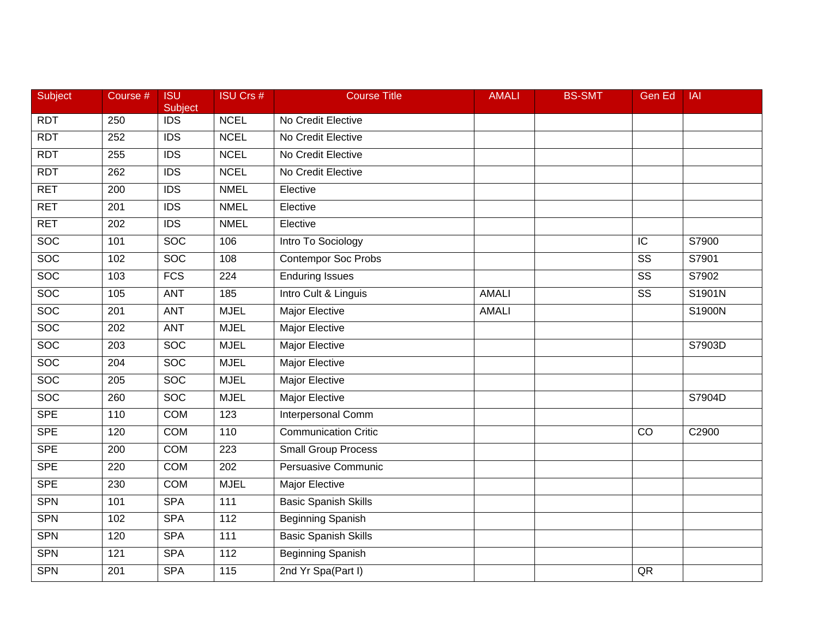| <b>Subject</b> | Course #         | <b>ISU</b><br>Subject | <b>ISU Crs #</b> | <b>Course Title</b>         | <b>AMALI</b> | <b>BS-SMT</b> | Gen Ed                 | <b>IAI</b> |
|----------------|------------------|-----------------------|------------------|-----------------------------|--------------|---------------|------------------------|------------|
| <b>RDT</b>     | 250              | <b>IDS</b>            | <b>NCEL</b>      | No Credit Elective          |              |               |                        |            |
| <b>RDT</b>     | 252              | $\overline{IDS}$      | <b>NCEL</b>      | No Credit Elective          |              |               |                        |            |
| <b>RDT</b>     | 255              | <b>IDS</b>            | <b>NCEL</b>      | No Credit Elective          |              |               |                        |            |
| <b>RDT</b>     | 262              | $\overline{IDS}$      | <b>NCEL</b>      | No Credit Elective          |              |               |                        |            |
| <b>RET</b>     | 200              | <b>IDS</b>            | <b>NMEL</b>      | Elective                    |              |               |                        |            |
| <b>RET</b>     | 201              | <b>IDS</b>            | <b>NMEL</b>      | Elective                    |              |               |                        |            |
| <b>RET</b>     | 202              | $\overline{IDS}$      | <b>NMEL</b>      | Elective                    |              |               |                        |            |
| <b>SOC</b>     | 101              | <b>SOC</b>            | 106              | Intro To Sociology          |              |               | IC                     | S7900      |
| <b>SOC</b>     | 102              | <b>SOC</b>            | 108              | <b>Contempor Soc Probs</b>  |              |               | $\overline{\text{ss}}$ | S7901      |
| <b>SOC</b>     | 103              | $\overline{FCS}$      | 224              | <b>Enduring Issues</b>      |              |               | SS                     | S7902      |
| <b>SOC</b>     | 105              | <b>ANT</b>            | 185              | Intro Cult & Linguis        | <b>AMALI</b> |               | SS                     | S1901N     |
| <b>SOC</b>     | 201              | <b>ANT</b>            | <b>MJEL</b>      | <b>Major Elective</b>       | <b>AMALI</b> |               |                        | S1900N     |
| <b>SOC</b>     | $\overline{202}$ | <b>ANT</b>            | <b>MJEL</b>      | <b>Major Elective</b>       |              |               |                        |            |
| <b>SOC</b>     | 203              | <b>SOC</b>            | <b>MJEL</b>      | Major Elective              |              |               |                        | S7903D     |
| <b>SOC</b>     | 204              | <b>SOC</b>            | <b>MJEL</b>      | <b>Major Elective</b>       |              |               |                        |            |
| <b>SOC</b>     | 205              | <b>SOC</b>            | <b>MJEL</b>      | Major Elective              |              |               |                        |            |
| <b>SOC</b>     | 260              | <b>SOC</b>            | <b>MJEL</b>      | Major Elective              |              |               |                        | S7904D     |
| <b>SPE</b>     | 110              | <b>COM</b>            | 123              | <b>Interpersonal Comm</b>   |              |               |                        |            |
| <b>SPE</b>     | 120              | <b>COM</b>            | 110              | <b>Communication Critic</b> |              |               | CO                     | C2900      |
| <b>SPE</b>     | 200              | <b>COM</b>            | 223              | <b>Small Group Process</b>  |              |               |                        |            |
| <b>SPE</b>     | 220              | <b>COM</b>            | 202              | Persuasive Communic         |              |               |                        |            |
| <b>SPE</b>     | 230              | <b>COM</b>            | <b>MJEL</b>      | <b>Major Elective</b>       |              |               |                        |            |
| <b>SPN</b>     | 101              | <b>SPA</b>            | 111              | <b>Basic Spanish Skills</b> |              |               |                        |            |
| <b>SPN</b>     | 102              | <b>SPA</b>            | $\frac{11}{2}$   | <b>Beginning Spanish</b>    |              |               |                        |            |
| <b>SPN</b>     | 120              | <b>SPA</b>            | 111              | <b>Basic Spanish Skills</b> |              |               |                        |            |
| <b>SPN</b>     | 121              | <b>SPA</b>            | 112              | <b>Beginning Spanish</b>    |              |               |                        |            |
| <b>SPN</b>     | 201              | <b>SPA</b>            | $\overline{115}$ | 2nd Yr Spa(Part I)          |              |               | QR                     |            |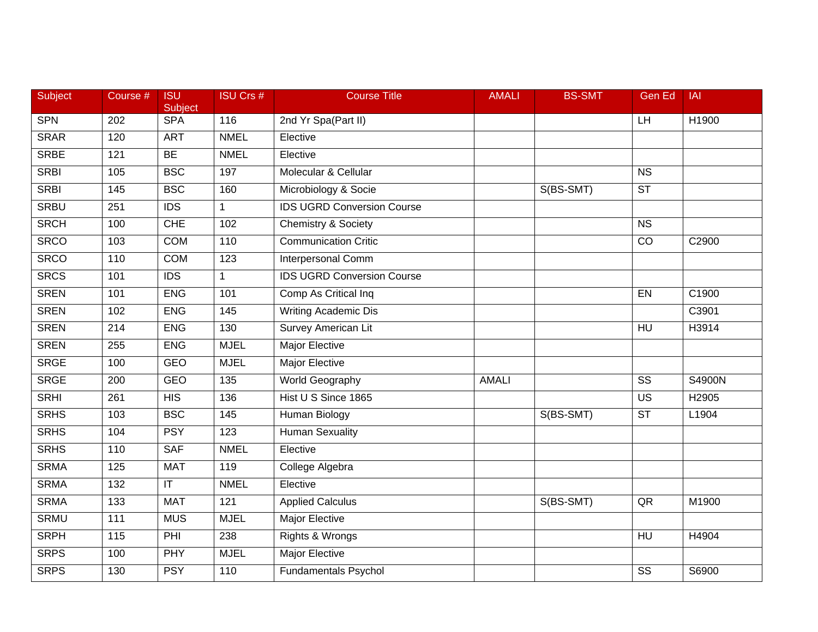| <b>Subject</b> | Course #         | <b>ISU</b><br>Subject   | <b>ISU Crs #</b>  | <b>Course Title</b>               | <b>AMALI</b> | <b>BS-SMT</b> | Gen Ed                 | <b>IAI</b> |
|----------------|------------------|-------------------------|-------------------|-----------------------------------|--------------|---------------|------------------------|------------|
| <b>SPN</b>     | 202              | <b>SPA</b>              | 116               | 2nd Yr Spa(Part II)               |              |               | LH                     | H1900      |
| <b>SRAR</b>    | 120              | <b>ART</b>              | <b>NMEL</b>       | Elective                          |              |               |                        |            |
| <b>SRBE</b>    | 121              | <b>BE</b>               | <b>NMEL</b>       | Elective                          |              |               |                        |            |
| <b>SRBI</b>    | 105              | <b>BSC</b>              | 197               | Molecular & Cellular              |              |               | $\overline{\text{NS}}$ |            |
| <b>SRBI</b>    | 145              | <b>BSC</b>              | 160               | Microbiology & Socie              |              | S(BS-SMT)     | <b>ST</b>              |            |
| <b>SRBU</b>    | 251              | <b>IDS</b>              | $\mathbf{1}$      | <b>IDS UGRD Conversion Course</b> |              |               |                        |            |
| <b>SRCH</b>    | 100              | <b>CHE</b>              | 102               | <b>Chemistry &amp; Society</b>    |              |               | $\overline{\text{NS}}$ |            |
| <b>SRCO</b>    | 103              | <b>COM</b>              | 110               | <b>Communication Critic</b>       |              |               | CO                     | C2900      |
| <b>SRCO</b>    | 110              | <b>COM</b>              | 123               | Interpersonal Comm                |              |               |                        |            |
| <b>SRCS</b>    | 101              | <b>IDS</b>              | $\mathbf{1}$      | <b>IDS UGRD Conversion Course</b> |              |               |                        |            |
| <b>SREN</b>    | 101              | <b>ENG</b>              | 101               | Comp As Critical Inq              |              |               | EN                     | C1900      |
| <b>SREN</b>    | 102              | <b>ENG</b>              | $\frac{145}{145}$ | <b>Writing Academic Dis</b>       |              |               |                        | C3901      |
| <b>SREN</b>    | $\overline{214}$ | <b>ENG</b>              | 130               | <b>Survey American Lit</b>        |              |               | <b>HU</b>              | H3914      |
| <b>SREN</b>    | 255              | <b>ENG</b>              | <b>MJEL</b>       | Major Elective                    |              |               |                        |            |
| <b>SRGE</b>    | 100              | <b>GEO</b>              | <b>MJEL</b>       | <b>Major Elective</b>             |              |               |                        |            |
| <b>SRGE</b>    | 200              | <b>GEO</b>              | 135               | World Geography                   | <b>AMALI</b> |               | SS                     | S4900N     |
| <b>SRHI</b>    | 261              | <b>HIS</b>              | 136               | Hist U S Since 1865               |              |               | $\overline{US}$        | H2905      |
| <b>SRHS</b>    | 103              | <b>BSC</b>              | $\frac{145}{145}$ | <b>Human Biology</b>              |              | S(BS-SMT)     | $\overline{\text{ST}}$ | L1904      |
| <b>SRHS</b>    | 104              | <b>PSY</b>              | 123               | <b>Human Sexuality</b>            |              |               |                        |            |
| <b>SRHS</b>    | 110              | <b>SAF</b>              | <b>NMEL</b>       | Elective                          |              |               |                        |            |
| <b>SRMA</b>    | 125              | <b>MAT</b>              | 119               | College Algebra                   |              |               |                        |            |
| <b>SRMA</b>    | 132              | $\overline{\mathsf{T}}$ | <b>NMEL</b>       | Elective                          |              |               |                        |            |
| <b>SRMA</b>    | $\overline{133}$ | <b>MAT</b>              | 121               | <b>Applied Calculus</b>           |              | S(BS-SMT)     | QR                     | M1900      |
| <b>SRMU</b>    | 111              | <b>MUS</b>              | <b>MJEL</b>       | Major Elective                    |              |               |                        |            |
| <b>SRPH</b>    | 115              | PHI                     | 238               | Rights & Wrongs                   |              |               | <b>HU</b>              | H4904      |
| <b>SRPS</b>    | 100              | <b>PHY</b>              | <b>MJEL</b>       | <b>Major Elective</b>             |              |               |                        |            |
| <b>SRPS</b>    | 130              | <b>PSY</b>              | 110               | <b>Fundamentals Psychol</b>       |              |               | $\overline{\text{ss}}$ | S6900      |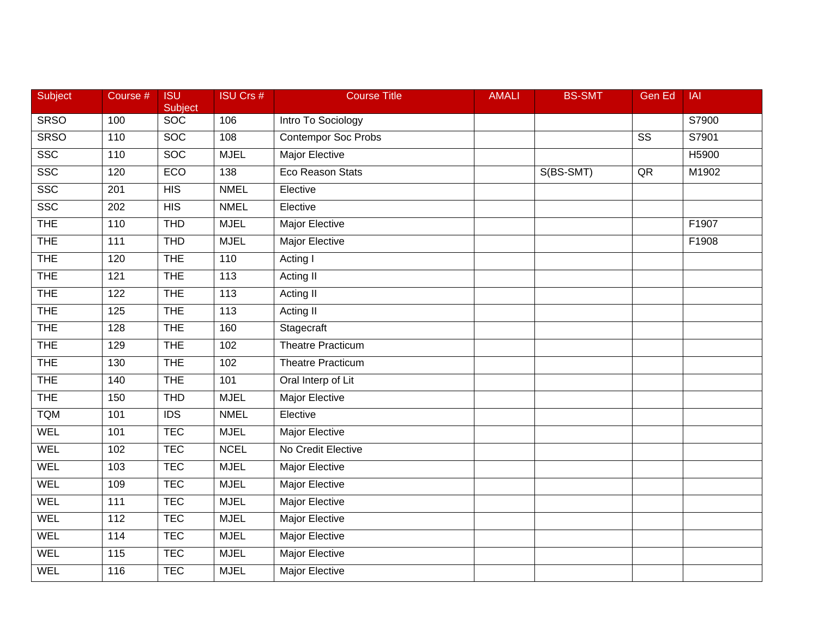| Subject     | Course #         | <b>ISU</b><br>Subject | <b>ISU Crs #</b> | <b>Course Title</b>        | <b>AMALI</b> | <b>BS-SMT</b> | <b>Gen Ed</b>          | <b>IAI</b> |
|-------------|------------------|-----------------------|------------------|----------------------------|--------------|---------------|------------------------|------------|
| <b>SRSO</b> | 100              | SOC                   | 106              | Intro To Sociology         |              |               |                        | S7900      |
| <b>SRSO</b> | 110              | <b>SOC</b>            | 108              | <b>Contempor Soc Probs</b> |              |               | $\overline{\text{SS}}$ | S7901      |
| <b>SSC</b>  | 110              | <b>SOC</b>            | <b>MJEL</b>      | <b>Major Elective</b>      |              |               |                        | H5900      |
| SSC         | 120              | ECO                   | 138              | Eco Reason Stats           |              | S(BS-SMT)     | QR                     | M1902      |
| <b>SSC</b>  | 201              | <b>HIS</b>            | <b>NMEL</b>      | Elective                   |              |               |                        |            |
| <b>SSC</b>  | 202              | <b>HIS</b>            | <b>NMEL</b>      | Elective                   |              |               |                        |            |
| <b>THE</b>  | 110              | <b>THD</b>            | <b>MJEL</b>      | <b>Major Elective</b>      |              |               |                        | F1907      |
| <b>THE</b>  | $\overline{111}$ | <b>THD</b>            | <b>MJEL</b>      | <b>Major Elective</b>      |              |               |                        | F1908      |
| <b>THE</b>  | 120              | <b>THE</b>            | 110              | Acting I                   |              |               |                        |            |
| <b>THE</b>  | 121              | <b>THE</b>            | 113              | Acting II                  |              |               |                        |            |
| <b>THE</b>  | 122              | <b>THE</b>            | 113              | Acting II                  |              |               |                        |            |
| <b>THE</b>  | $\overline{125}$ | <b>THE</b>            | 113              | Acting II                  |              |               |                        |            |
| <b>THE</b>  | 128              | <b>THE</b>            | 160              | Stagecraft                 |              |               |                        |            |
| <b>THE</b>  | 129              | <b>THE</b>            | 102              | <b>Theatre Practicum</b>   |              |               |                        |            |
| <b>THE</b>  | 130              | <b>THE</b>            | 102              | Theatre Practicum          |              |               |                        |            |
| <b>THE</b>  | 140              | <b>THE</b>            | 101              | Oral Interp of Lit         |              |               |                        |            |
| <b>THE</b>  | 150              | <b>THD</b>            | <b>MJEL</b>      | <b>Major Elective</b>      |              |               |                        |            |
| <b>TQM</b>  | 101              | $\overline{IDS}$      | <b>NMEL</b>      | Elective                   |              |               |                        |            |
| WEL         | 101              | <b>TEC</b>            | <b>MJEL</b>      | Major Elective             |              |               |                        |            |
| <b>WEL</b>  | 102              | <b>TEC</b>            | <b>NCEL</b>      | No Credit Elective         |              |               |                        |            |
| WEL         | 103              | <b>TEC</b>            | <b>MJEL</b>      | <b>Major Elective</b>      |              |               |                        |            |
| <b>WEL</b>  | 109              | <b>TEC</b>            | <b>MJEL</b>      | <b>Major Elective</b>      |              |               |                        |            |
| <b>WEL</b>  | $\overline{111}$ | <b>TEC</b>            | <b>MJEL</b>      | <b>Major Elective</b>      |              |               |                        |            |
| <b>WEL</b>  | $\frac{11}{2}$   | <b>TEC</b>            | <b>MJEL</b>      | <b>Major Elective</b>      |              |               |                        |            |
| <b>WEL</b>  | 114              | <b>TEC</b>            | <b>MJEL</b>      | Major Elective             |              |               |                        |            |
| WEL         | 115              | <b>TEC</b>            | <b>MJEL</b>      | Major Elective             |              |               |                        |            |
| <b>WEL</b>  | 116              | <b>TEC</b>            | <b>MJEL</b>      | <b>Major Elective</b>      |              |               |                        |            |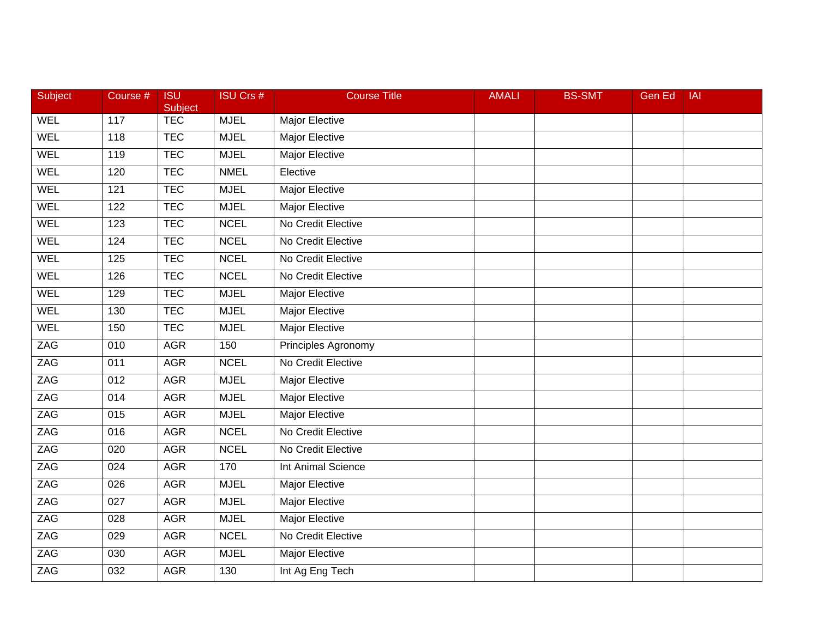| <b>Subject</b> | Course #         | <b>ISU</b><br>Subject | <b>ISU Crs #</b> | <b>Course Title</b>       | <b>AMALI</b> | <b>BS-SMT</b> | <b>Gen Ed</b> | <b>IAI</b> |
|----------------|------------------|-----------------------|------------------|---------------------------|--------------|---------------|---------------|------------|
| <b>WEL</b>     | 117              | <b>TEC</b>            | <b>MJEL</b>      | Major Elective            |              |               |               |            |
| <b>WEL</b>     | 118              | <b>TEC</b>            | <b>MJEL</b>      | <b>Major Elective</b>     |              |               |               |            |
| <b>WEL</b>     | 119              | <b>TEC</b>            | <b>MJEL</b>      | <b>Major Elective</b>     |              |               |               |            |
| <b>WEL</b>     | 120              | <b>TEC</b>            | <b>NMEL</b>      | Elective                  |              |               |               |            |
| <b>WEL</b>     | 121              | <b>TEC</b>            | <b>MJEL</b>      | Major Elective            |              |               |               |            |
| <b>WEL</b>     | 122              | <b>TEC</b>            | <b>MJEL</b>      | Major Elective            |              |               |               |            |
| <b>WEL</b>     | 123              | <b>TEC</b>            | <b>NCEL</b>      | No Credit Elective        |              |               |               |            |
| WEL            | 124              | <b>TEC</b>            | <b>NCEL</b>      | No Credit Elective        |              |               |               |            |
| <b>WEL</b>     | 125              | <b>TEC</b>            | <b>NCEL</b>      | No Credit Elective        |              |               |               |            |
| <b>WEL</b>     | 126              | <b>TEC</b>            | <b>NCEL</b>      | No Credit Elective        |              |               |               |            |
| <b>WEL</b>     | 129              | <b>TEC</b>            | <b>MJEL</b>      | Major Elective            |              |               |               |            |
| <b>WEL</b>     | 130              | <b>TEC</b>            | <b>MJEL</b>      | <b>Major Elective</b>     |              |               |               |            |
| <b>WEL</b>     | 150              | <b>TEC</b>            | <b>MJEL</b>      | <b>Major Elective</b>     |              |               |               |            |
| ZAG            | 010              | <b>AGR</b>            | 150              | Principles Agronomy       |              |               |               |            |
| ZAG            | 011              | <b>AGR</b>            | <b>NCEL</b>      | No Credit Elective        |              |               |               |            |
| ZAG            | 012              | <b>AGR</b>            | <b>MJEL</b>      | Major Elective            |              |               |               |            |
| ZAG            | 014              | <b>AGR</b>            | <b>MJEL</b>      | <b>Major Elective</b>     |              |               |               |            |
| ZAG            | 015              | <b>AGR</b>            | <b>MJEL</b>      | <b>Major Elective</b>     |              |               |               |            |
| ZAG            | 016              | <b>AGR</b>            | <b>NCEL</b>      | No Credit Elective        |              |               |               |            |
| ZAG            | 020              | <b>AGR</b>            | <b>NCEL</b>      | No Credit Elective        |              |               |               |            |
| ZAG            | 024              | <b>AGR</b>            | 170              | <b>Int Animal Science</b> |              |               |               |            |
| ZAG            | 026              | <b>AGR</b>            | <b>MJEL</b>      | <b>Major Elective</b>     |              |               |               |            |
| ZAG            | $\overline{027}$ | <b>AGR</b>            | <b>MJEL</b>      | <b>Major Elective</b>     |              |               |               |            |
| ZAG            | 028              | <b>AGR</b>            | <b>MJEL</b>      | <b>Major Elective</b>     |              |               |               |            |
| <b>ZAG</b>     | 029              | <b>AGR</b>            | <b>NCEL</b>      | No Credit Elective        |              |               |               |            |
| ZAG            | 030              | <b>AGR</b>            | <b>MJEL</b>      | Major Elective            |              |               |               |            |
| ZAG            | 032              | <b>AGR</b>            | 130              | Int Ag Eng Tech           |              |               |               |            |